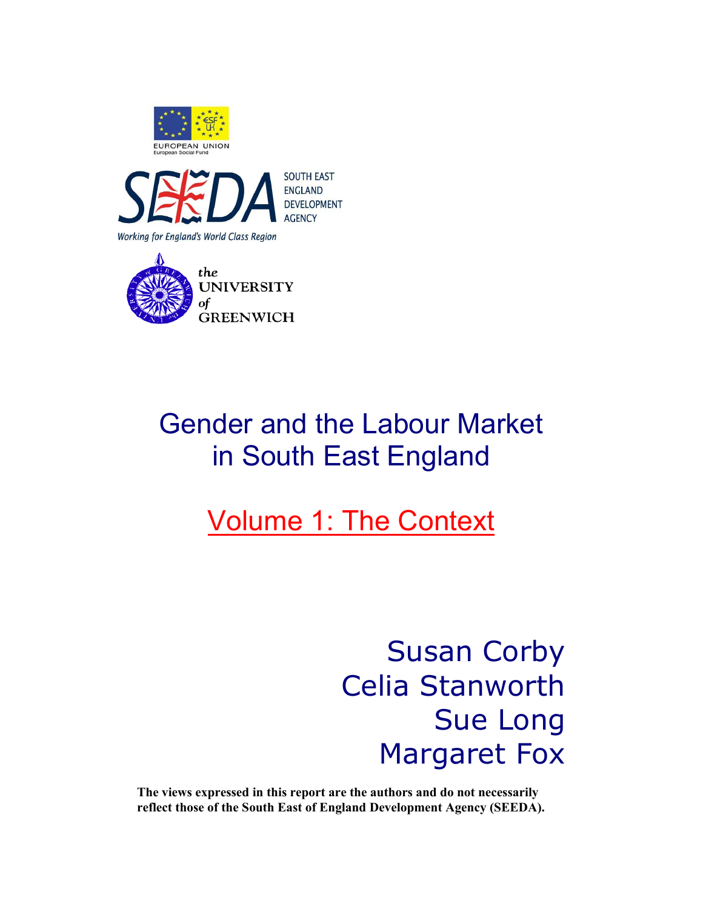





## Gender and the Labour Market in South East England

## Volume 1: The Context

Susan Corby Celia Stanworth Sue Long Margaret Fox

**The views expressed in this report are the authors and do not necessarily reflect those of the South East of England Development Agency (SEEDA).**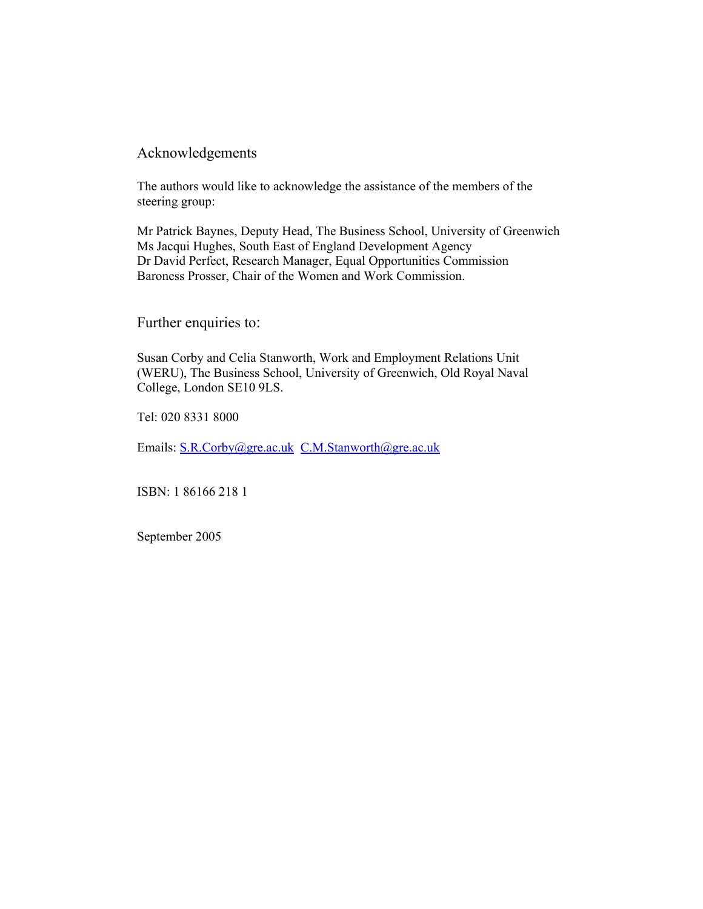### Acknowledgements

The authors would like to acknowledge the assistance of the members of the steering group:

Mr Patrick Baynes, Deputy Head, The Business School, University of Greenwich Ms Jacqui Hughes, South East of England Development Agency Dr David Perfect, Research Manager, Equal Opportunities Commission Baroness Prosser, Chair of the Women and Work Commission.

Further enquiries to:

Susan Corby and Celia Stanworth, Work and Employment Relations Unit (WERU), The Business School, University of Greenwich, Old Royal Naval College, London SE10 9LS.

Tel: 020 8331 8000

Emails: S.R.Corby@gre.ac.uk C.M.Stanworth@gre.ac.uk

ISBN: 1 86166 218 1

September 2005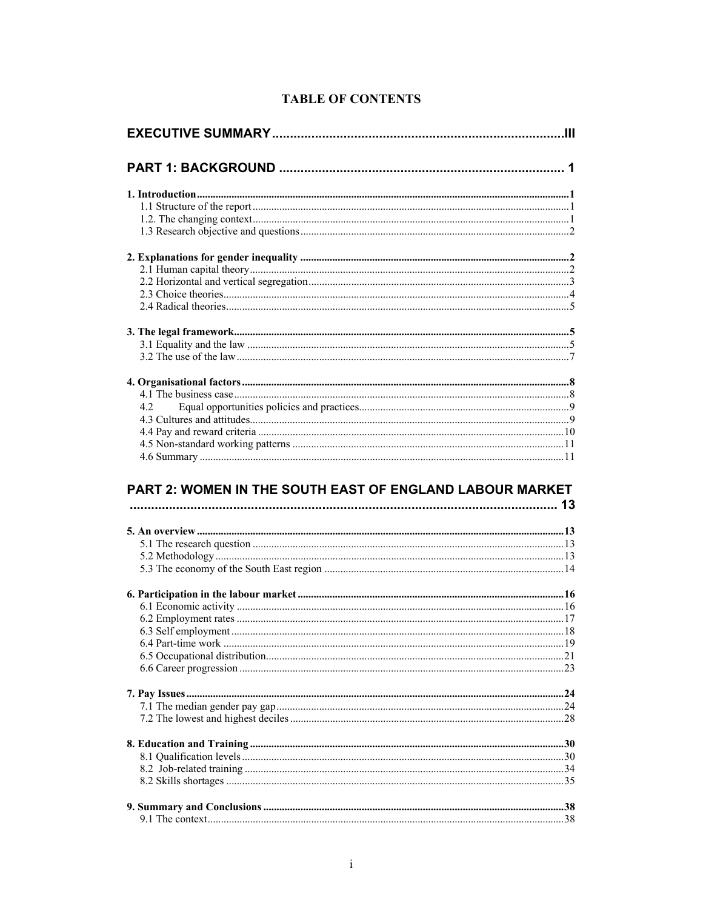| 42 |  |
|----|--|
|    |  |
|    |  |
|    |  |
|    |  |

### **TABLE OF CONTENTS**

#### PART 2: WOMEN IN THE SOUTH EAST OF ENGLAND LABOUR MARKET  $12$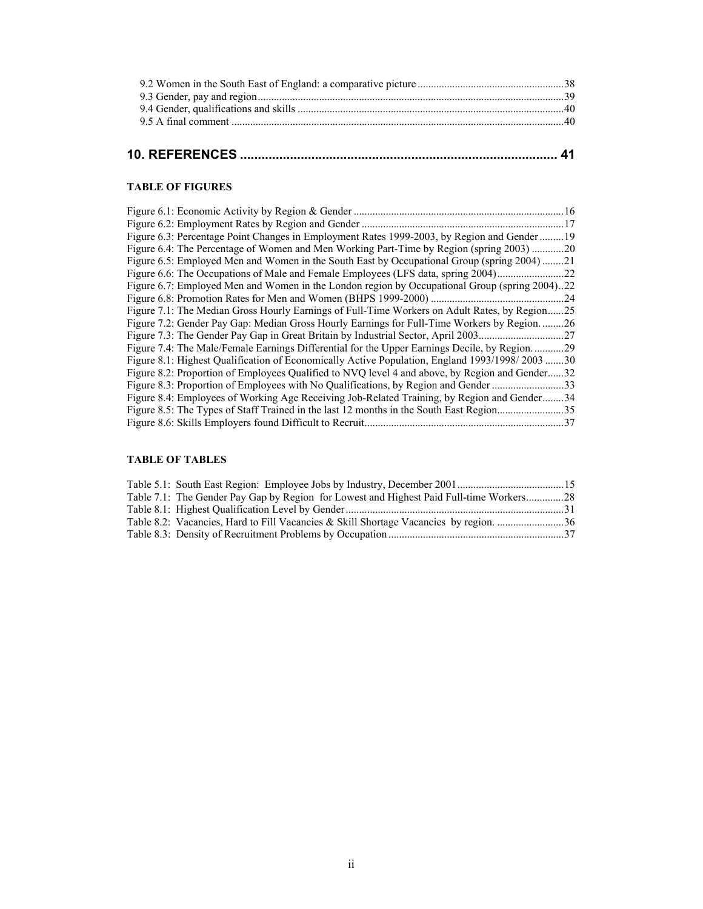## **10. REFERENCES ......................................................................................... 41**

#### **TABLE OF FIGURES**

| Figure 6.1: Economic Activity by Region & Gender.                                              | 16  |
|------------------------------------------------------------------------------------------------|-----|
| Figure 6.2: Employment Rates by Region and Gender.                                             | 17  |
| Figure 6.3: Percentage Point Changes in Employment Rates 1999-2003, by Region and Gender<br>19 |     |
| Figure 6.4: The Percentage of Women and Men Working Part-Time by Region (spring 2003) 20       |     |
| Figure 6.5: Employed Men and Women in the South East by Occupational Group (spring 2004)<br>21 |     |
| Figure 6.6: The Occupations of Male and Female Employees (LFS data, spring 2004).              | 22  |
| Figure 6.7: Employed Men and Women in the London region by Occupational Group (spring 2004)22  |     |
| Figure 6.8: Promotion Rates for Men and Women (BHPS 1999-2000)                                 | 24  |
| Figure 7.1: The Median Gross Hourly Earnings of Full-Time Workers on Adult Rates, by Region.   | .25 |
| Figure 7.2: Gender Pay Gap: Median Gross Hourly Earnings for Full-Time Workers by Region.      | 26  |
| Figure 7.3: The Gender Pay Gap in Great Britain by Industrial Sector, April 2003               | .27 |
| Figure 7.4: The Male/Female Earnings Differential for the Upper Earnings Decile, by Region.    | 29  |
| Figure 8.1: Highest Qualification of Economically Active Population, England 1993/1998/2003.   | .30 |
| Figure 8.2: Proportion of Employees Qualified to NVQ level 4 and above, by Region and Gender.  | 32  |
| Figure 8.3: Proportion of Employees with No Qualifications, by Region and Gender.              | 33  |
| Figure 8.4: Employees of Working Age Receiving Job-Related Training, by Region and Gender.     | .34 |
| Figure 8.5: The Types of Staff Trained in the last 12 months in the South East Region          | 35  |
| Figure 8.6: Skills Employers found Difficult to Recruit.                                       | 37  |

#### **TABLE OF TABLES**

| Table 7.1: The Gender Pay Gap by Region for Lowest and Highest Paid Full-time Workers28 |  |
|-----------------------------------------------------------------------------------------|--|
|                                                                                         |  |
| Table 8.2: Vacancies, Hard to Fill Vacancies & Skill Shortage Vacancies by region. 36   |  |
|                                                                                         |  |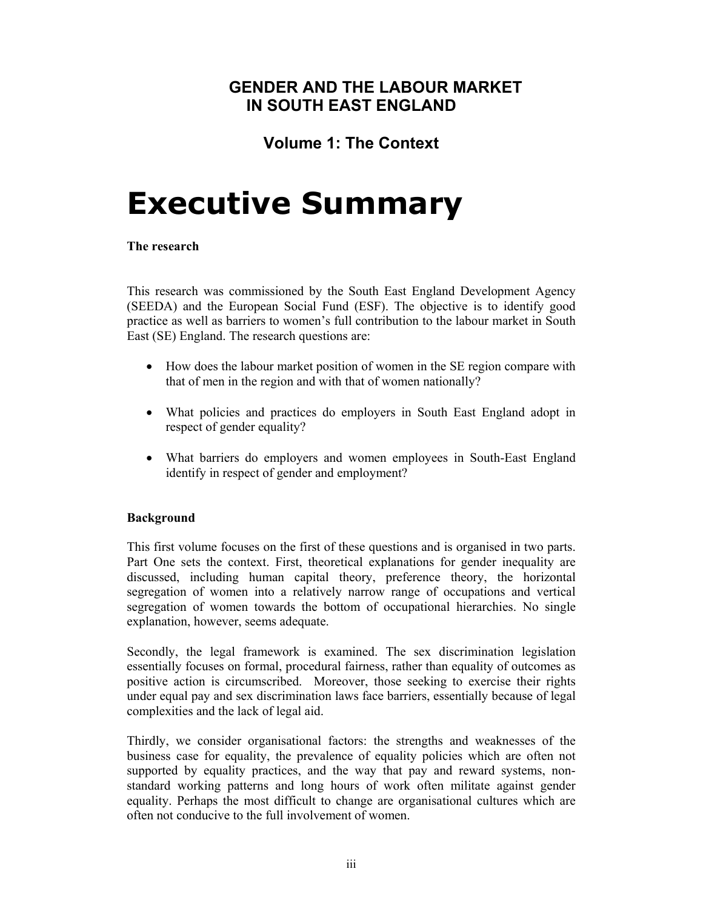## **GENDER AND THE LABOUR MARKET IN SOUTH EAST ENGLAND**

## **Volume 1: The Context**

## **Executive Summary**

#### **The research**

This research was commissioned by the South East England Development Agency (SEEDA) and the European Social Fund (ESF). The objective is to identify good practice as well as barriers to women's full contribution to the labour market in South East (SE) England. The research questions are:

- How does the labour market position of women in the SE region compare with that of men in the region and with that of women nationally?
- What policies and practices do employers in South East England adopt in respect of gender equality?
- What barriers do employers and women employees in South-East England identify in respect of gender and employment?

#### **Background**

This first volume focuses on the first of these questions and is organised in two parts. Part One sets the context. First, theoretical explanations for gender inequality are discussed, including human capital theory, preference theory, the horizontal segregation of women into a relatively narrow range of occupations and vertical segregation of women towards the bottom of occupational hierarchies. No single explanation, however, seems adequate.

Secondly, the legal framework is examined. The sex discrimination legislation essentially focuses on formal, procedural fairness, rather than equality of outcomes as positive action is circumscribed. Moreover, those seeking to exercise their rights under equal pay and sex discrimination laws face barriers, essentially because of legal complexities and the lack of legal aid.

Thirdly, we consider organisational factors: the strengths and weaknesses of the business case for equality, the prevalence of equality policies which are often not supported by equality practices, and the way that pay and reward systems, nonstandard working patterns and long hours of work often militate against gender equality. Perhaps the most difficult to change are organisational cultures which are often not conducive to the full involvement of women.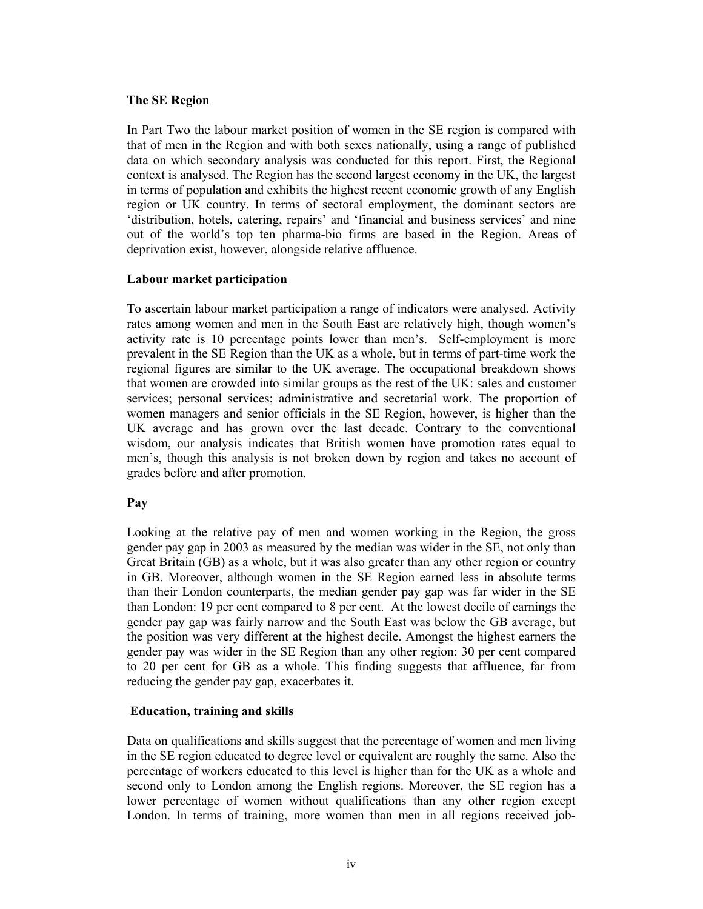#### **The SE Region**

In Part Two the labour market position of women in the SE region is compared with that of men in the Region and with both sexes nationally, using a range of published data on which secondary analysis was conducted for this report. First, the Regional context is analysed. The Region has the second largest economy in the UK, the largest in terms of population and exhibits the highest recent economic growth of any English region or UK country. In terms of sectoral employment, the dominant sectors are 'distribution, hotels, catering, repairs' and 'financial and business services' and nine out of the world's top ten pharma-bio firms are based in the Region. Areas of deprivation exist, however, alongside relative affluence.

#### **Labour market participation**

To ascertain labour market participation a range of indicators were analysed. Activity rates among women and men in the South East are relatively high, though women's activity rate is 10 percentage points lower than men's. Self-employment is more prevalent in the SE Region than the UK as a whole, but in terms of part-time work the regional figures are similar to the UK average. The occupational breakdown shows that women are crowded into similar groups as the rest of the UK: sales and customer services; personal services; administrative and secretarial work. The proportion of women managers and senior officials in the SE Region, however, is higher than the UK average and has grown over the last decade. Contrary to the conventional wisdom, our analysis indicates that British women have promotion rates equal to men's, though this analysis is not broken down by region and takes no account of grades before and after promotion.

#### **Pay**

Looking at the relative pay of men and women working in the Region, the gross gender pay gap in 2003 as measured by the median was wider in the SE, not only than Great Britain (GB) as a whole, but it was also greater than any other region or country in GB. Moreover, although women in the SE Region earned less in absolute terms than their London counterparts, the median gender pay gap was far wider in the SE than London: 19 per cent compared to 8 per cent. At the lowest decile of earnings the gender pay gap was fairly narrow and the South East was below the GB average, but the position was very different at the highest decile. Amongst the highest earners the gender pay was wider in the SE Region than any other region: 30 per cent compared to 20 per cent for GB as a whole. This finding suggests that affluence, far from reducing the gender pay gap, exacerbates it.

#### **Education, training and skills**

Data on qualifications and skills suggest that the percentage of women and men living in the SE region educated to degree level or equivalent are roughly the same. Also the percentage of workers educated to this level is higher than for the UK as a whole and second only to London among the English regions. Moreover, the SE region has a lower percentage of women without qualifications than any other region except London. In terms of training, more women than men in all regions received job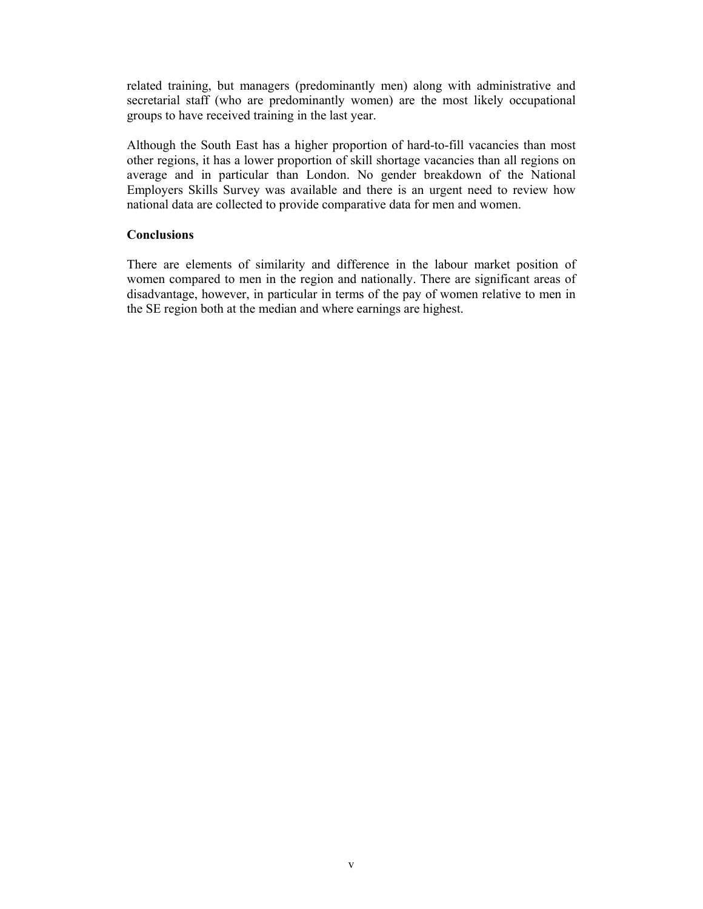related training, but managers (predominantly men) along with administrative and secretarial staff (who are predominantly women) are the most likely occupational groups to have received training in the last year.

Although the South East has a higher proportion of hard-to-fill vacancies than most other regions, it has a lower proportion of skill shortage vacancies than all regions on average and in particular than London. No gender breakdown of the National Employers Skills Survey was available and there is an urgent need to review how national data are collected to provide comparative data for men and women.

#### **Conclusions**

There are elements of similarity and difference in the labour market position of women compared to men in the region and nationally. There are significant areas of disadvantage, however, in particular in terms of the pay of women relative to men in the SE region both at the median and where earnings are highest.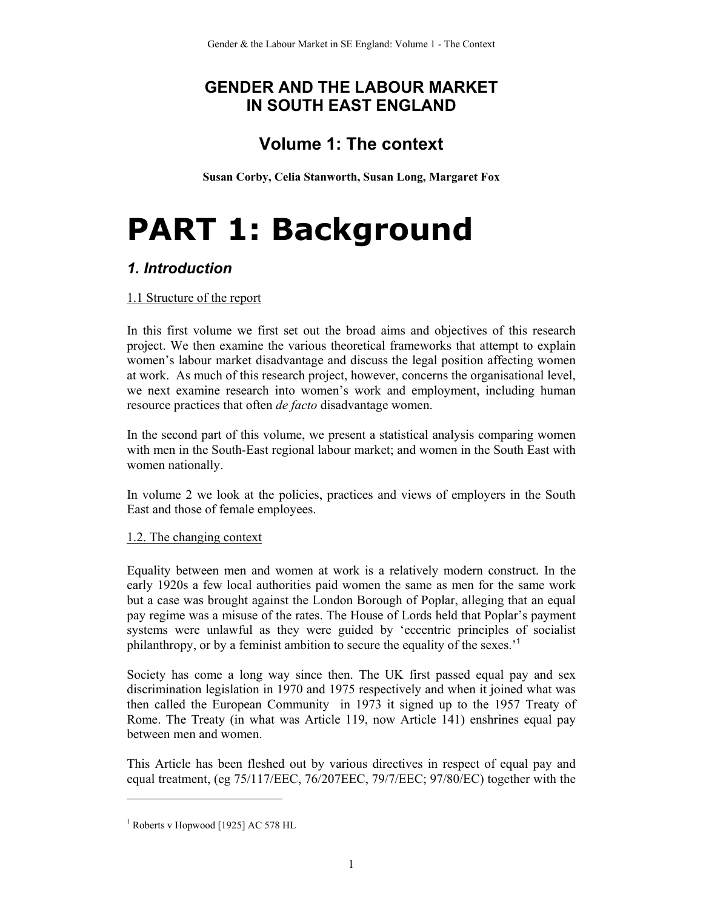## **GENDER AND THE LABOUR MARKET IN SOUTH EAST ENGLAND**

## **Volume 1: The context**

**Susan Corby, Celia Stanworth, Susan Long, Margaret Fox** 

# **PART 1: Background**

### *1. Introduction*

#### 1.1 Structure of the report

In this first volume we first set out the broad aims and objectives of this research project. We then examine the various theoretical frameworks that attempt to explain women's labour market disadvantage and discuss the legal position affecting women at work. As much of this research project, however, concerns the organisational level, we next examine research into women's work and employment, including human resource practices that often *de facto* disadvantage women.

In the second part of this volume, we present a statistical analysis comparing women with men in the South-East regional labour market; and women in the South East with women nationally.

In volume 2 we look at the policies, practices and views of employers in the South East and those of female employees.

#### 1.2. The changing context

Equality between men and women at work is a relatively modern construct. In the early 1920s a few local authorities paid women the same as men for the same work but a case was brought against the London Borough of Poplar, alleging that an equal pay regime was a misuse of the rates. The House of Lords held that Poplar's payment systems were unlawful as they were guided by 'eccentric principles of socialist philanthropy, or by a feminist ambition to secure the equality of the sexes.'<sup>1</sup>

Society has come a long way since then. The UK first passed equal pay and sex discrimination legislation in 1970 and 1975 respectively and when it joined what was then called the European Community in 1973 it signed up to the 1957 Treaty of Rome. The Treaty (in what was Article 119, now Article 141) enshrines equal pay between men and women.

This Article has been fleshed out by various directives in respect of equal pay and equal treatment, (eg 75/117/EEC, 76/207EEC, 79/7/EEC; 97/80/EC) together with the

l

<sup>1</sup> Roberts v Hopwood [1925] AC 578 HL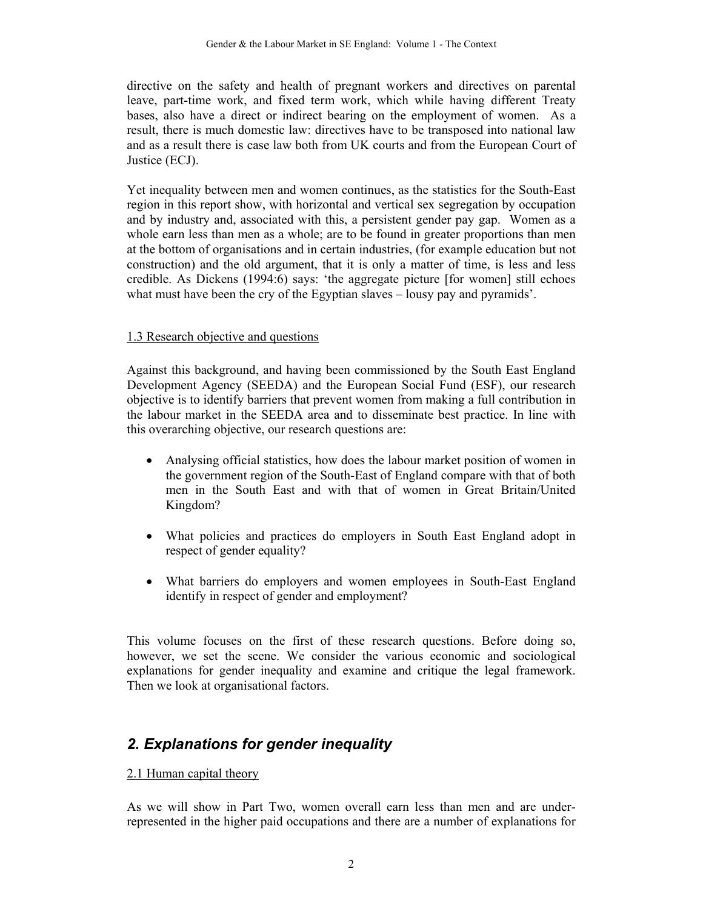directive on the safety and health of pregnant workers and directives on parental leave, part-time work, and fixed term work, which while having different Treaty bases, also have a direct or indirect bearing on the employment of women. As a result, there is much domestic law: directives have to be transposed into national law and as a result there is case law both from UK courts and from the European Court of Justice (ECJ).

Yet inequality between men and women continues, as the statistics for the South-East region in this report show, with horizontal and vertical sex segregation by occupation and by industry and, associated with this, a persistent gender pay gap. Women as a whole earn less than men as a whole; are to be found in greater proportions than men at the bottom of organisations and in certain industries, (for example education but not construction) and the old argument, that it is only a matter of time, is less and less credible. As Dickens (1994:6) says: 'the aggregate picture [for women] still echoes what must have been the cry of the Egyptian slaves – lousy pay and pyramids'.

#### 1.3 Research objective and questions

Against this background, and having been commissioned by the South East England Development Agency (SEEDA) and the European Social Fund (ESF), our research objective is to identify barriers that prevent women from making a full contribution in the labour market in the SEEDA area and to disseminate best practice. In line with this overarching objective, our research questions are:

- Analysing official statistics, how does the labour market position of women in the government region of the South-East of England compare with that of both men in the South East and with that of women in Great Britain/United Kingdom?
- What policies and practices do employers in South East England adopt in respect of gender equality?
- What barriers do employers and women employees in South-East England identify in respect of gender and employment?

This volume focuses on the first of these research questions. Before doing so, however, we set the scene. We consider the various economic and sociological explanations for gender inequality and examine and critique the legal framework. Then we look at organisational factors.

## *2. Explanations for gender inequality*

#### 2.1 Human capital theory

As we will show in Part Two, women overall earn less than men and are underrepresented in the higher paid occupations and there are a number of explanations for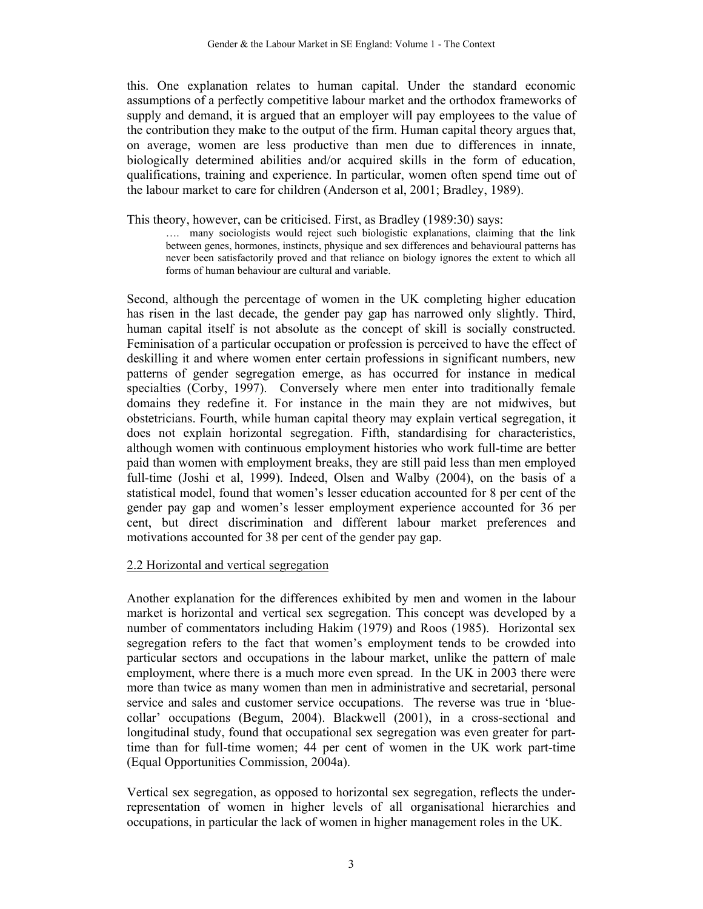this. One explanation relates to human capital. Under the standard economic assumptions of a perfectly competitive labour market and the orthodox frameworks of supply and demand, it is argued that an employer will pay employees to the value of the contribution they make to the output of the firm. Human capital theory argues that, on average, women are less productive than men due to differences in innate, biologically determined abilities and/or acquired skills in the form of education, qualifications, training and experience. In particular, women often spend time out of the labour market to care for children (Anderson et al, 2001; Bradley, 1989).

This theory, however, can be criticised. First, as Bradley (1989:30) says:

…. many sociologists would reject such biologistic explanations, claiming that the link between genes, hormones, instincts, physique and sex differences and behavioural patterns has never been satisfactorily proved and that reliance on biology ignores the extent to which all forms of human behaviour are cultural and variable.

Second, although the percentage of women in the UK completing higher education has risen in the last decade, the gender pay gap has narrowed only slightly. Third, human capital itself is not absolute as the concept of skill is socially constructed. Feminisation of a particular occupation or profession is perceived to have the effect of deskilling it and where women enter certain professions in significant numbers, new patterns of gender segregation emerge, as has occurred for instance in medical specialties (Corby, 1997). Conversely where men enter into traditionally female domains they redefine it. For instance in the main they are not midwives, but obstetricians. Fourth, while human capital theory may explain vertical segregation, it does not explain horizontal segregation. Fifth, standardising for characteristics, although women with continuous employment histories who work full-time are better paid than women with employment breaks, they are still paid less than men employed full-time (Joshi et al, 1999). Indeed, Olsen and Walby (2004), on the basis of a statistical model, found that women's lesser education accounted for 8 per cent of the gender pay gap and women's lesser employment experience accounted for 36 per cent, but direct discrimination and different labour market preferences and motivations accounted for 38 per cent of the gender pay gap.

#### 2.2 Horizontal and vertical segregation

Another explanation for the differences exhibited by men and women in the labour market is horizontal and vertical sex segregation. This concept was developed by a number of commentators including Hakim (1979) and Roos (1985). Horizontal sex segregation refers to the fact that women's employment tends to be crowded into particular sectors and occupations in the labour market, unlike the pattern of male employment, where there is a much more even spread. In the UK in 2003 there were more than twice as many women than men in administrative and secretarial, personal service and sales and customer service occupations. The reverse was true in 'bluecollar' occupations (Begum, 2004). Blackwell (2001), in a cross-sectional and longitudinal study, found that occupational sex segregation was even greater for parttime than for full-time women; 44 per cent of women in the UK work part-time (Equal Opportunities Commission, 2004a).

Vertical sex segregation, as opposed to horizontal sex segregation, reflects the underrepresentation of women in higher levels of all organisational hierarchies and occupations, in particular the lack of women in higher management roles in the UK.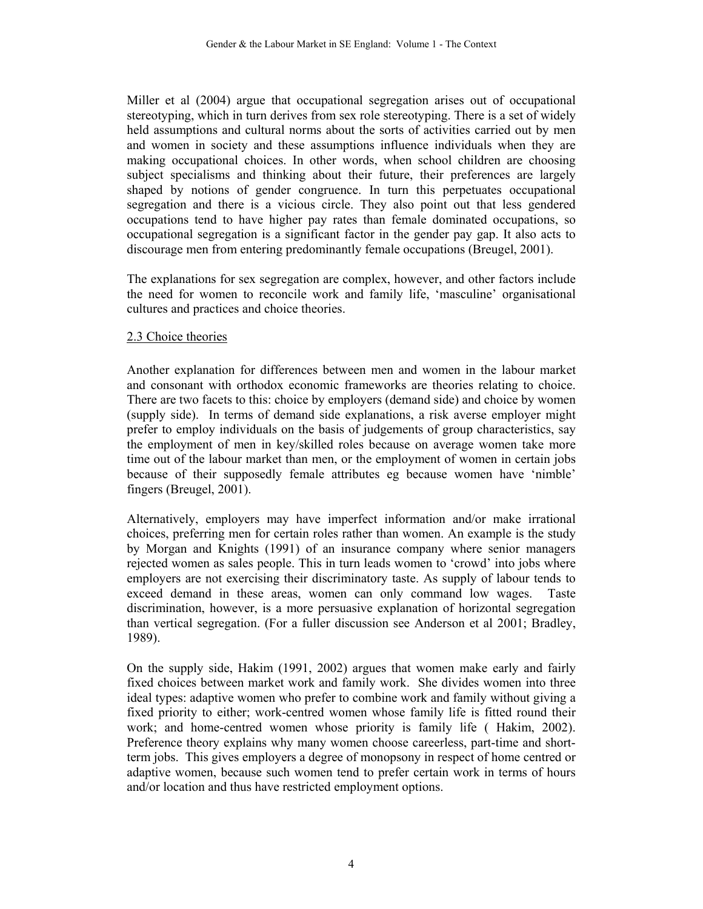Miller et al (2004) argue that occupational segregation arises out of occupational stereotyping, which in turn derives from sex role stereotyping. There is a set of widely held assumptions and cultural norms about the sorts of activities carried out by men and women in society and these assumptions influence individuals when they are making occupational choices. In other words, when school children are choosing subject specialisms and thinking about their future, their preferences are largely shaped by notions of gender congruence. In turn this perpetuates occupational segregation and there is a vicious circle. They also point out that less gendered occupations tend to have higher pay rates than female dominated occupations, so occupational segregation is a significant factor in the gender pay gap. It also acts to discourage men from entering predominantly female occupations (Breugel, 2001).

The explanations for sex segregation are complex, however, and other factors include the need for women to reconcile work and family life, 'masculine' organisational cultures and practices and choice theories.

#### 2.3 Choice theories

Another explanation for differences between men and women in the labour market and consonant with orthodox economic frameworks are theories relating to choice. There are two facets to this: choice by employers (demand side) and choice by women (supply side). In terms of demand side explanations, a risk averse employer might prefer to employ individuals on the basis of judgements of group characteristics, say the employment of men in key/skilled roles because on average women take more time out of the labour market than men, or the employment of women in certain jobs because of their supposedly female attributes eg because women have 'nimble' fingers (Breugel, 2001).

Alternatively, employers may have imperfect information and/or make irrational choices, preferring men for certain roles rather than women. An example is the study by Morgan and Knights (1991) of an insurance company where senior managers rejected women as sales people. This in turn leads women to 'crowd' into jobs where employers are not exercising their discriminatory taste. As supply of labour tends to exceed demand in these areas, women can only command low wages. Taste discrimination, however, is a more persuasive explanation of horizontal segregation than vertical segregation. (For a fuller discussion see Anderson et al 2001; Bradley, 1989).

On the supply side, Hakim (1991, 2002) argues that women make early and fairly fixed choices between market work and family work. She divides women into three ideal types: adaptive women who prefer to combine work and family without giving a fixed priority to either; work-centred women whose family life is fitted round their work; and home-centred women whose priority is family life ( Hakim, 2002). Preference theory explains why many women choose careerless, part-time and shortterm jobs. This gives employers a degree of monopsony in respect of home centred or adaptive women, because such women tend to prefer certain work in terms of hours and/or location and thus have restricted employment options.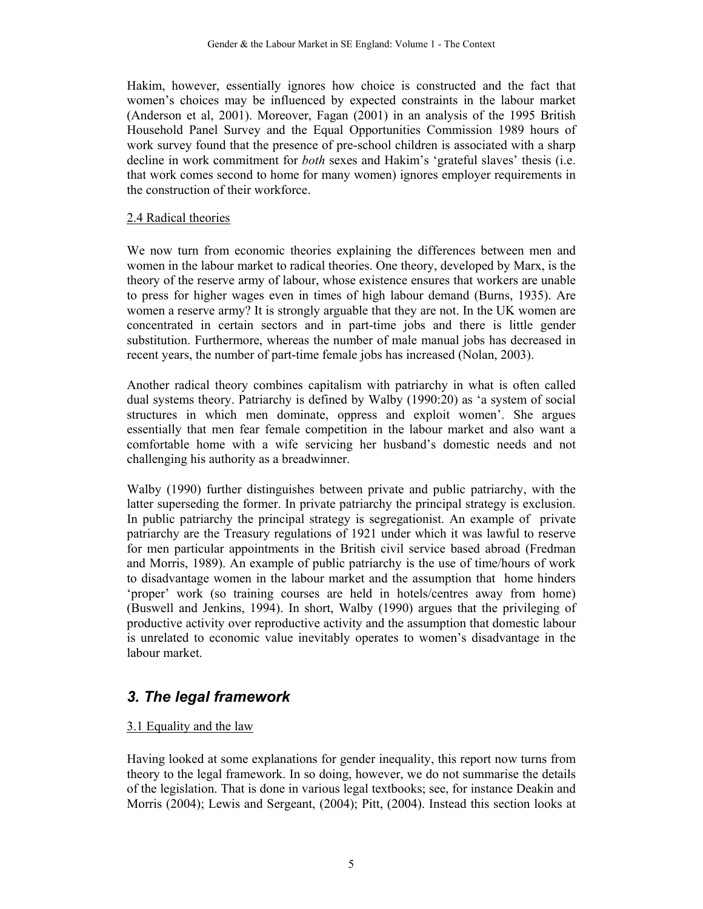Hakim, however, essentially ignores how choice is constructed and the fact that women's choices may be influenced by expected constraints in the labour market (Anderson et al, 2001). Moreover, Fagan (2001) in an analysis of the 1995 British Household Panel Survey and the Equal Opportunities Commission 1989 hours of work survey found that the presence of pre-school children is associated with a sharp decline in work commitment for *both* sexes and Hakim's 'grateful slaves' thesis (i.e. that work comes second to home for many women) ignores employer requirements in the construction of their workforce.

#### 2.4 Radical theories

We now turn from economic theories explaining the differences between men and women in the labour market to radical theories. One theory, developed by Marx, is the theory of the reserve army of labour, whose existence ensures that workers are unable to press for higher wages even in times of high labour demand (Burns, 1935). Are women a reserve army? It is strongly arguable that they are not. In the UK women are concentrated in certain sectors and in part-time jobs and there is little gender substitution. Furthermore, whereas the number of male manual jobs has decreased in recent years, the number of part-time female jobs has increased (Nolan, 2003).

Another radical theory combines capitalism with patriarchy in what is often called dual systems theory. Patriarchy is defined by Walby (1990:20) as 'a system of social structures in which men dominate, oppress and exploit women'. She argues essentially that men fear female competition in the labour market and also want a comfortable home with a wife servicing her husband's domestic needs and not challenging his authority as a breadwinner.

Walby (1990) further distinguishes between private and public patriarchy, with the latter superseding the former. In private patriarchy the principal strategy is exclusion. In public patriarchy the principal strategy is segregationist. An example of private patriarchy are the Treasury regulations of 1921 under which it was lawful to reserve for men particular appointments in the British civil service based abroad (Fredman and Morris, 1989). An example of public patriarchy is the use of time/hours of work to disadvantage women in the labour market and the assumption that home hinders 'proper' work (so training courses are held in hotels/centres away from home) (Buswell and Jenkins, 1994). In short, Walby (1990) argues that the privileging of productive activity over reproductive activity and the assumption that domestic labour is unrelated to economic value inevitably operates to women's disadvantage in the labour market.

## *3. The legal framework*

#### 3.1 Equality and the law

Having looked at some explanations for gender inequality, this report now turns from theory to the legal framework. In so doing, however, we do not summarise the details of the legislation. That is done in various legal textbooks; see, for instance Deakin and Morris (2004); Lewis and Sergeant, (2004); Pitt, (2004). Instead this section looks at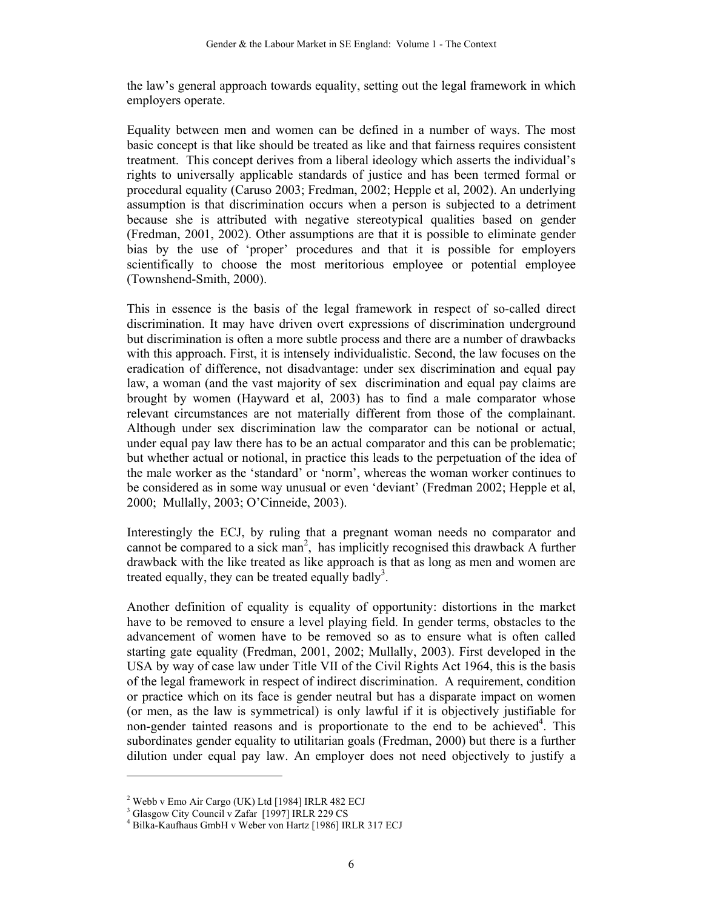the law's general approach towards equality, setting out the legal framework in which employers operate.

Equality between men and women can be defined in a number of ways. The most basic concept is that like should be treated as like and that fairness requires consistent treatment. This concept derives from a liberal ideology which asserts the individual's rights to universally applicable standards of justice and has been termed formal or procedural equality (Caruso 2003; Fredman, 2002; Hepple et al, 2002). An underlying assumption is that discrimination occurs when a person is subjected to a detriment because she is attributed with negative stereotypical qualities based on gender (Fredman, 2001, 2002). Other assumptions are that it is possible to eliminate gender bias by the use of 'proper' procedures and that it is possible for employers scientifically to choose the most meritorious employee or potential employee (Townshend-Smith, 2000).

This in essence is the basis of the legal framework in respect of so-called direct discrimination. It may have driven overt expressions of discrimination underground but discrimination is often a more subtle process and there are a number of drawbacks with this approach. First, it is intensely individualistic. Second, the law focuses on the eradication of difference, not disadvantage: under sex discrimination and equal pay law, a woman (and the vast majority of sex discrimination and equal pay claims are brought by women (Hayward et al, 2003) has to find a male comparator whose relevant circumstances are not materially different from those of the complainant. Although under sex discrimination law the comparator can be notional or actual, under equal pay law there has to be an actual comparator and this can be problematic; but whether actual or notional, in practice this leads to the perpetuation of the idea of the male worker as the 'standard' or 'norm', whereas the woman worker continues to be considered as in some way unusual or even 'deviant' (Fredman 2002; Hepple et al, 2000; Mullally, 2003; O'Cinneide, 2003).

Interestingly the ECJ, by ruling that a pregnant woman needs no comparator and cannot be compared to a sick man<sup>2</sup>, has implicitly recognised this drawback A further drawback with the like treated as like approach is that as long as men and women are treated equally, they can be treated equally badly<sup>3</sup>.

Another definition of equality is equality of opportunity: distortions in the market have to be removed to ensure a level playing field. In gender terms, obstacles to the advancement of women have to be removed so as to ensure what is often called starting gate equality (Fredman, 2001, 2002; Mullally, 2003). First developed in the USA by way of case law under Title VII of the Civil Rights Act 1964, this is the basis of the legal framework in respect of indirect discrimination. A requirement, condition or practice which on its face is gender neutral but has a disparate impact on women (or men, as the law is symmetrical) is only lawful if it is objectively justifiable for non-gender tainted reasons and is proportionate to the end to be achieved<sup>4</sup>. This subordinates gender equality to utilitarian goals (Fredman, 2000) but there is a further dilution under equal pay law. An employer does not need objectively to justify a

 $\overline{a}$ 

<sup>&</sup>lt;sup>2</sup> Webb v Emo Air Cargo (UK) Ltd [1984] IRLR 482 ECJ

<sup>3</sup> Glasgow City Council v Zafar [1997] IRLR 229 CS

<sup>4</sup> Bilka-Kaufhaus GmbH v Weber von Hartz [1986] IRLR 317 ECJ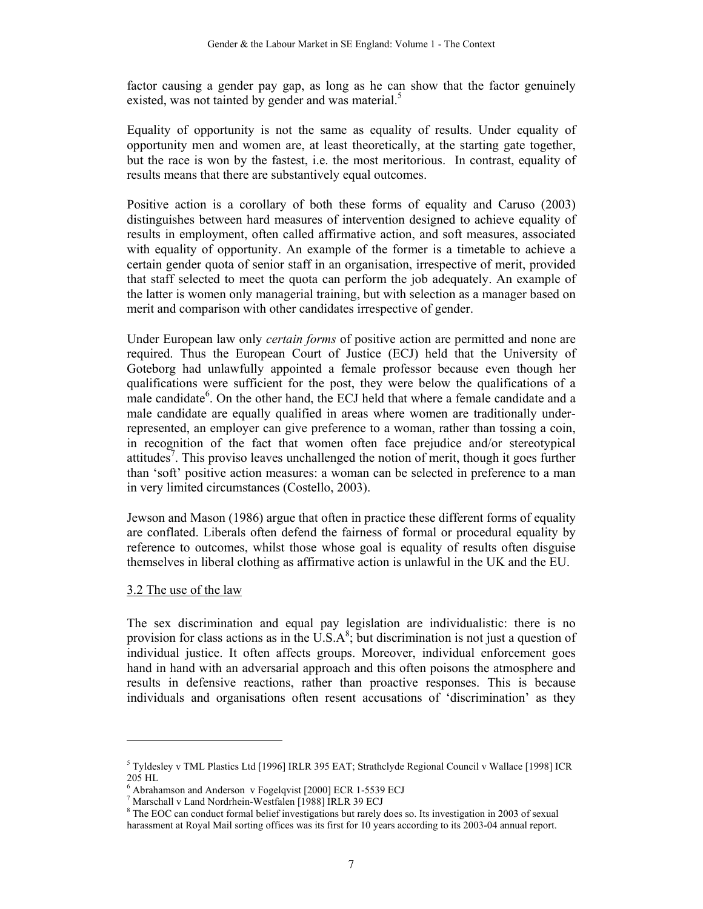factor causing a gender pay gap, as long as he can show that the factor genuinely existed, was not tainted by gender and was material.<sup>5</sup>

Equality of opportunity is not the same as equality of results. Under equality of opportunity men and women are, at least theoretically, at the starting gate together, but the race is won by the fastest, i.e. the most meritorious. In contrast, equality of results means that there are substantively equal outcomes.

Positive action is a corollary of both these forms of equality and Caruso (2003) distinguishes between hard measures of intervention designed to achieve equality of results in employment, often called affirmative action, and soft measures, associated with equality of opportunity. An example of the former is a timetable to achieve a certain gender quota of senior staff in an organisation, irrespective of merit, provided that staff selected to meet the quota can perform the job adequately. An example of the latter is women only managerial training, but with selection as a manager based on merit and comparison with other candidates irrespective of gender.

Under European law only *certain forms* of positive action are permitted and none are required. Thus the European Court of Justice (ECJ) held that the University of Goteborg had unlawfully appointed a female professor because even though her qualifications were sufficient for the post, they were below the qualifications of a male candidate<sup>6</sup>. On the other hand, the ECJ held that where a female candidate and a male candidate are equally qualified in areas where women are traditionally underrepresented, an employer can give preference to a woman, rather than tossing a coin, in recognition of the fact that women often face prejudice and/or stereotypical attitudes<sup>7</sup>. This proviso leaves unchallenged the notion of merit, though it goes further than 'soft' positive action measures: a woman can be selected in preference to a man in very limited circumstances (Costello, 2003).

Jewson and Mason (1986) argue that often in practice these different forms of equality are conflated. Liberals often defend the fairness of formal or procedural equality by reference to outcomes, whilst those whose goal is equality of results often disguise themselves in liberal clothing as affirmative action is unlawful in the UK and the EU.

#### 3.2 The use of the law

l

The sex discrimination and equal pay legislation are individualistic: there is no provision for class actions as in the  $\overline{U.S.A^8}$ ; but discrimination is not just a question of individual justice. It often affects groups. Moreover, individual enforcement goes hand in hand with an adversarial approach and this often poisons the atmosphere and results in defensive reactions, rather than proactive responses. This is because individuals and organisations often resent accusations of 'discrimination' as they

<sup>5</sup> Tyldesley v TML Plastics Ltd [1996] IRLR 395 EAT; Strathclyde Regional Council v Wallace [1998] ICR 205 HL

<sup>6</sup> Abrahamson and Anderson v Fogelqvist [2000] ECR 1-5539 ECJ

<sup>7</sup> Marschall v Land Nordrhein-Westfalen [1988] IRLR 39 ECJ

<sup>&</sup>lt;sup>8</sup> The EOC can conduct formal belief investigations but rarely does so. Its investigation in 2003 of sexual harassment at Royal Mail sorting offices was its first for 10 years according to its 2003-04 annual report.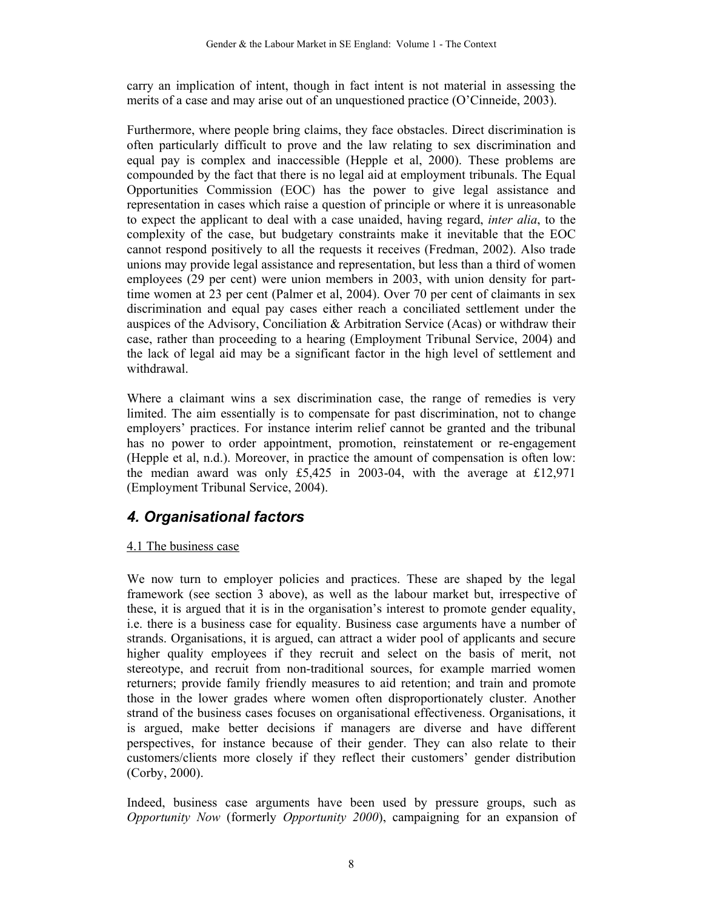carry an implication of intent, though in fact intent is not material in assessing the merits of a case and may arise out of an unquestioned practice (O'Cinneide, 2003).

Furthermore, where people bring claims, they face obstacles. Direct discrimination is often particularly difficult to prove and the law relating to sex discrimination and equal pay is complex and inaccessible (Hepple et al, 2000). These problems are compounded by the fact that there is no legal aid at employment tribunals. The Equal Opportunities Commission (EOC) has the power to give legal assistance and representation in cases which raise a question of principle or where it is unreasonable to expect the applicant to deal with a case unaided, having regard, *inter alia*, to the complexity of the case, but budgetary constraints make it inevitable that the EOC cannot respond positively to all the requests it receives (Fredman, 2002). Also trade unions may provide legal assistance and representation, but less than a third of women employees (29 per cent) were union members in 2003, with union density for parttime women at 23 per cent (Palmer et al, 2004). Over 70 per cent of claimants in sex discrimination and equal pay cases either reach a conciliated settlement under the auspices of the Advisory, Conciliation & Arbitration Service (Acas) or withdraw their case, rather than proceeding to a hearing (Employment Tribunal Service, 2004) and the lack of legal aid may be a significant factor in the high level of settlement and withdrawal.

Where a claimant wins a sex discrimination case, the range of remedies is very limited. The aim essentially is to compensate for past discrimination, not to change employers' practices. For instance interim relief cannot be granted and the tribunal has no power to order appointment, promotion, reinstatement or re-engagement (Hepple et al, n.d.). Moreover, in practice the amount of compensation is often low: the median award was only £5,425 in 2003-04, with the average at £12,971 (Employment Tribunal Service, 2004).

## *4. Organisational factors*

#### 4.1 The business case

We now turn to employer policies and practices. These are shaped by the legal framework (see section 3 above), as well as the labour market but, irrespective of these, it is argued that it is in the organisation's interest to promote gender equality, i.e. there is a business case for equality. Business case arguments have a number of strands. Organisations, it is argued, can attract a wider pool of applicants and secure higher quality employees if they recruit and select on the basis of merit, not stereotype, and recruit from non-traditional sources, for example married women returners; provide family friendly measures to aid retention; and train and promote those in the lower grades where women often disproportionately cluster. Another strand of the business cases focuses on organisational effectiveness. Organisations, it is argued, make better decisions if managers are diverse and have different perspectives, for instance because of their gender. They can also relate to their customers/clients more closely if they reflect their customers' gender distribution (Corby, 2000).

Indeed, business case arguments have been used by pressure groups, such as *Opportunity Now* (formerly *Opportunity 2000*), campaigning for an expansion of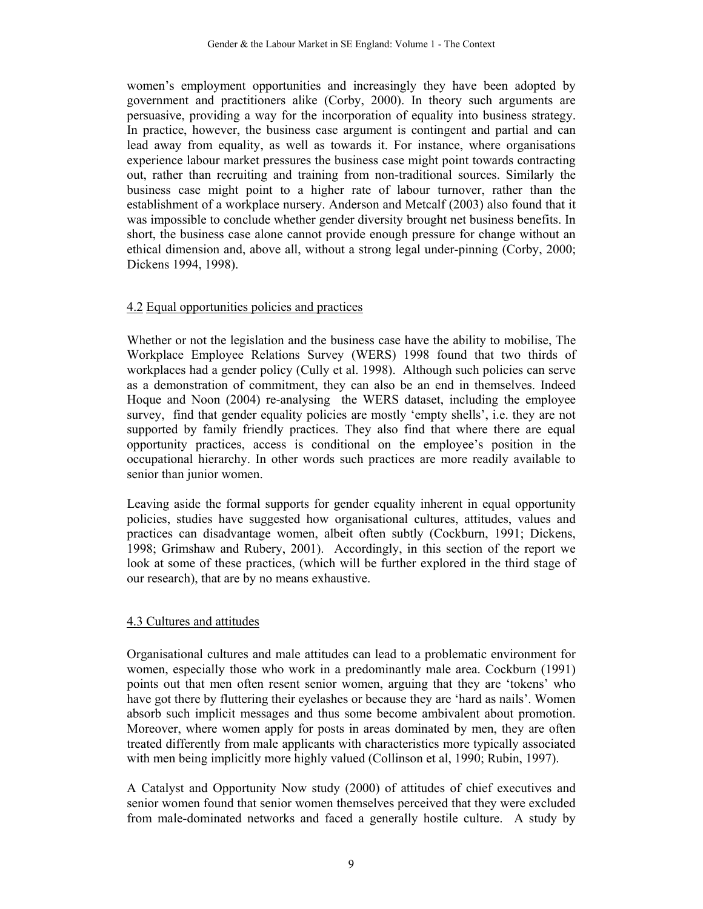women's employment opportunities and increasingly they have been adopted by government and practitioners alike (Corby, 2000). In theory such arguments are persuasive, providing a way for the incorporation of equality into business strategy. In practice, however, the business case argument is contingent and partial and can lead away from equality, as well as towards it. For instance, where organisations experience labour market pressures the business case might point towards contracting out, rather than recruiting and training from non-traditional sources. Similarly the business case might point to a higher rate of labour turnover, rather than the establishment of a workplace nursery. Anderson and Metcalf (2003) also found that it was impossible to conclude whether gender diversity brought net business benefits. In short, the business case alone cannot provide enough pressure for change without an ethical dimension and, above all, without a strong legal under-pinning (Corby, 2000; Dickens 1994, 1998).

#### 4.2 Equal opportunities policies and practices

Whether or not the legislation and the business case have the ability to mobilise, The Workplace Employee Relations Survey (WERS) 1998 found that two thirds of workplaces had a gender policy (Cully et al. 1998). Although such policies can serve as a demonstration of commitment, they can also be an end in themselves. Indeed Hoque and Noon (2004) re-analysing the WERS dataset, including the employee survey, find that gender equality policies are mostly 'empty shells', i.e. they are not supported by family friendly practices. They also find that where there are equal opportunity practices, access is conditional on the employee's position in the occupational hierarchy. In other words such practices are more readily available to senior than junior women.

Leaving aside the formal supports for gender equality inherent in equal opportunity policies, studies have suggested how organisational cultures, attitudes, values and practices can disadvantage women, albeit often subtly (Cockburn, 1991; Dickens, 1998; Grimshaw and Rubery, 2001). Accordingly, in this section of the report we look at some of these practices, (which will be further explored in the third stage of our research), that are by no means exhaustive.

#### 4.3 Cultures and attitudes

Organisational cultures and male attitudes can lead to a problematic environment for women, especially those who work in a predominantly male area. Cockburn (1991) points out that men often resent senior women, arguing that they are 'tokens' who have got there by fluttering their eyelashes or because they are 'hard as nails'. Women absorb such implicit messages and thus some become ambivalent about promotion. Moreover, where women apply for posts in areas dominated by men, they are often treated differently from male applicants with characteristics more typically associated with men being implicitly more highly valued (Collinson et al, 1990; Rubin, 1997).

A Catalyst and Opportunity Now study (2000) of attitudes of chief executives and senior women found that senior women themselves perceived that they were excluded from male-dominated networks and faced a generally hostile culture. A study by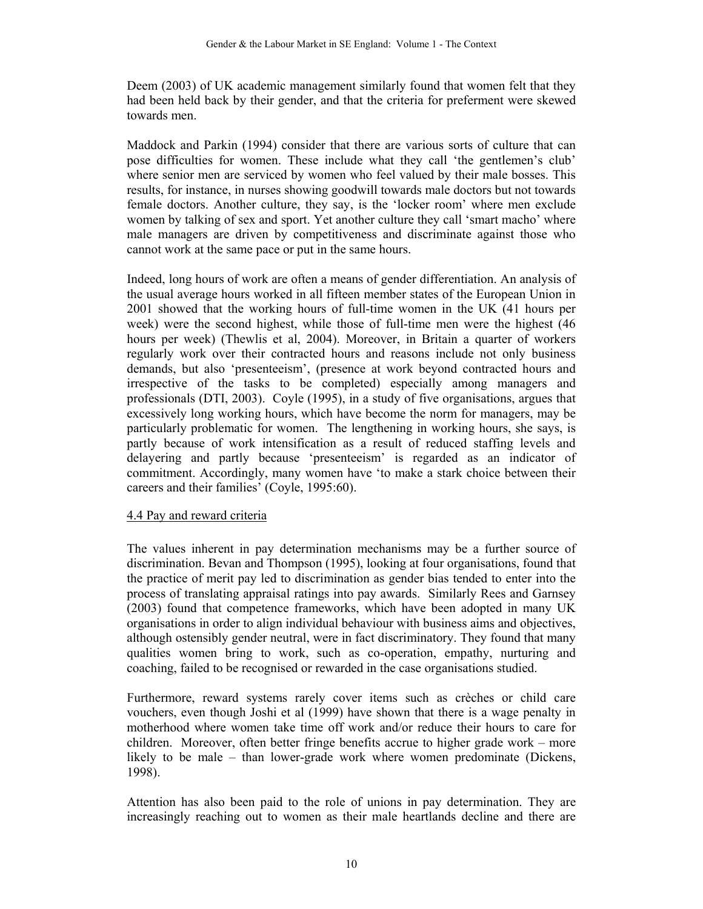Deem (2003) of UK academic management similarly found that women felt that they had been held back by their gender, and that the criteria for preferment were skewed towards men.

Maddock and Parkin (1994) consider that there are various sorts of culture that can pose difficulties for women. These include what they call 'the gentlemen's club' where senior men are serviced by women who feel valued by their male bosses. This results, for instance, in nurses showing goodwill towards male doctors but not towards female doctors. Another culture, they say, is the 'locker room' where men exclude women by talking of sex and sport. Yet another culture they call 'smart macho' where male managers are driven by competitiveness and discriminate against those who cannot work at the same pace or put in the same hours.

Indeed, long hours of work are often a means of gender differentiation. An analysis of the usual average hours worked in all fifteen member states of the European Union in 2001 showed that the working hours of full-time women in the UK (41 hours per week) were the second highest, while those of full-time men were the highest (46 hours per week) (Thewlis et al, 2004). Moreover, in Britain a quarter of workers regularly work over their contracted hours and reasons include not only business demands, but also 'presenteeism', (presence at work beyond contracted hours and irrespective of the tasks to be completed) especially among managers and professionals (DTI, 2003). Coyle (1995), in a study of five organisations, argues that excessively long working hours, which have become the norm for managers, may be particularly problematic for women. The lengthening in working hours, she says, is partly because of work intensification as a result of reduced staffing levels and delayering and partly because 'presenteeism' is regarded as an indicator of commitment. Accordingly, many women have 'to make a stark choice between their careers and their families' (Coyle, 1995:60).

#### 4.4 Pay and reward criteria

The values inherent in pay determination mechanisms may be a further source of discrimination. Bevan and Thompson (1995), looking at four organisations, found that the practice of merit pay led to discrimination as gender bias tended to enter into the process of translating appraisal ratings into pay awards. Similarly Rees and Garnsey (2003) found that competence frameworks, which have been adopted in many UK organisations in order to align individual behaviour with business aims and objectives, although ostensibly gender neutral, were in fact discriminatory. They found that many qualities women bring to work, such as co-operation, empathy, nurturing and coaching, failed to be recognised or rewarded in the case organisations studied.

Furthermore, reward systems rarely cover items such as crèches or child care vouchers, even though Joshi et al (1999) have shown that there is a wage penalty in motherhood where women take time off work and/or reduce their hours to care for children. Moreover, often better fringe benefits accrue to higher grade work – more likely to be male – than lower-grade work where women predominate (Dickens, 1998).

Attention has also been paid to the role of unions in pay determination. They are increasingly reaching out to women as their male heartlands decline and there are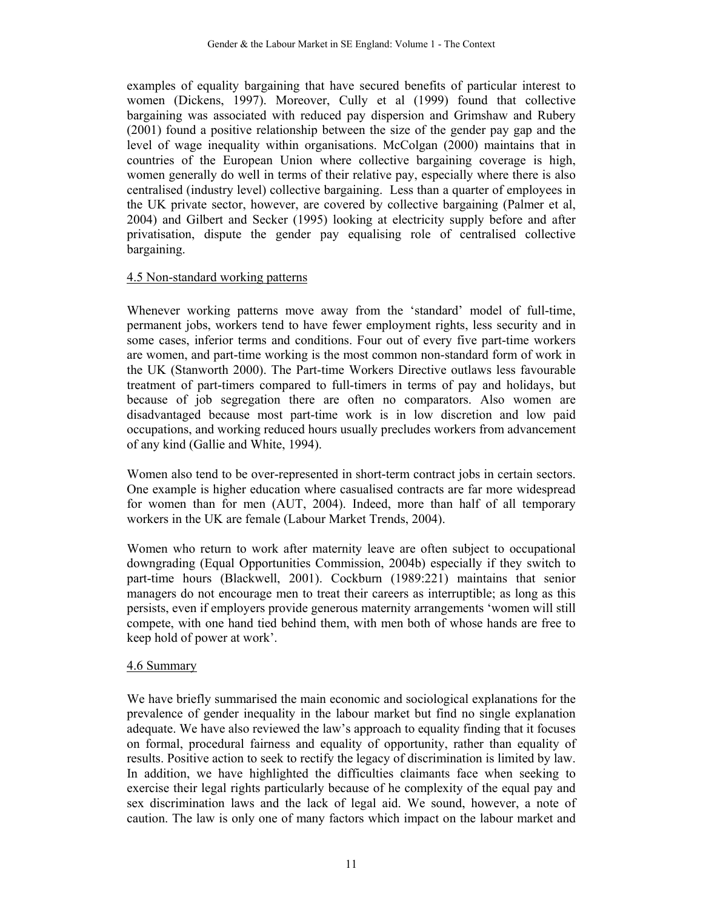examples of equality bargaining that have secured benefits of particular interest to women (Dickens, 1997). Moreover, Cully et al (1999) found that collective bargaining was associated with reduced pay dispersion and Grimshaw and Rubery (2001) found a positive relationship between the size of the gender pay gap and the level of wage inequality within organisations. McColgan (2000) maintains that in countries of the European Union where collective bargaining coverage is high, women generally do well in terms of their relative pay, especially where there is also centralised (industry level) collective bargaining. Less than a quarter of employees in the UK private sector, however, are covered by collective bargaining (Palmer et al, 2004) and Gilbert and Secker (1995) looking at electricity supply before and after privatisation, dispute the gender pay equalising role of centralised collective bargaining.

#### 4.5 Non-standard working patterns

Whenever working patterns move away from the 'standard' model of full-time, permanent jobs, workers tend to have fewer employment rights, less security and in some cases, inferior terms and conditions. Four out of every five part-time workers are women, and part-time working is the most common non-standard form of work in the UK (Stanworth 2000). The Part-time Workers Directive outlaws less favourable treatment of part-timers compared to full-timers in terms of pay and holidays, but because of job segregation there are often no comparators. Also women are disadvantaged because most part-time work is in low discretion and low paid occupations, and working reduced hours usually precludes workers from advancement of any kind (Gallie and White, 1994).

Women also tend to be over-represented in short-term contract jobs in certain sectors. One example is higher education where casualised contracts are far more widespread for women than for men (AUT, 2004). Indeed, more than half of all temporary workers in the UK are female (Labour Market Trends, 2004).

Women who return to work after maternity leave are often subject to occupational downgrading (Equal Opportunities Commission, 2004b) especially if they switch to part-time hours (Blackwell, 2001). Cockburn (1989:221) maintains that senior managers do not encourage men to treat their careers as interruptible; as long as this persists, even if employers provide generous maternity arrangements 'women will still compete, with one hand tied behind them, with men both of whose hands are free to keep hold of power at work'.

#### 4.6 Summary

We have briefly summarised the main economic and sociological explanations for the prevalence of gender inequality in the labour market but find no single explanation adequate. We have also reviewed the law's approach to equality finding that it focuses on formal, procedural fairness and equality of opportunity, rather than equality of results. Positive action to seek to rectify the legacy of discrimination is limited by law. In addition, we have highlighted the difficulties claimants face when seeking to exercise their legal rights particularly because of he complexity of the equal pay and sex discrimination laws and the lack of legal aid. We sound, however, a note of caution. The law is only one of many factors which impact on the labour market and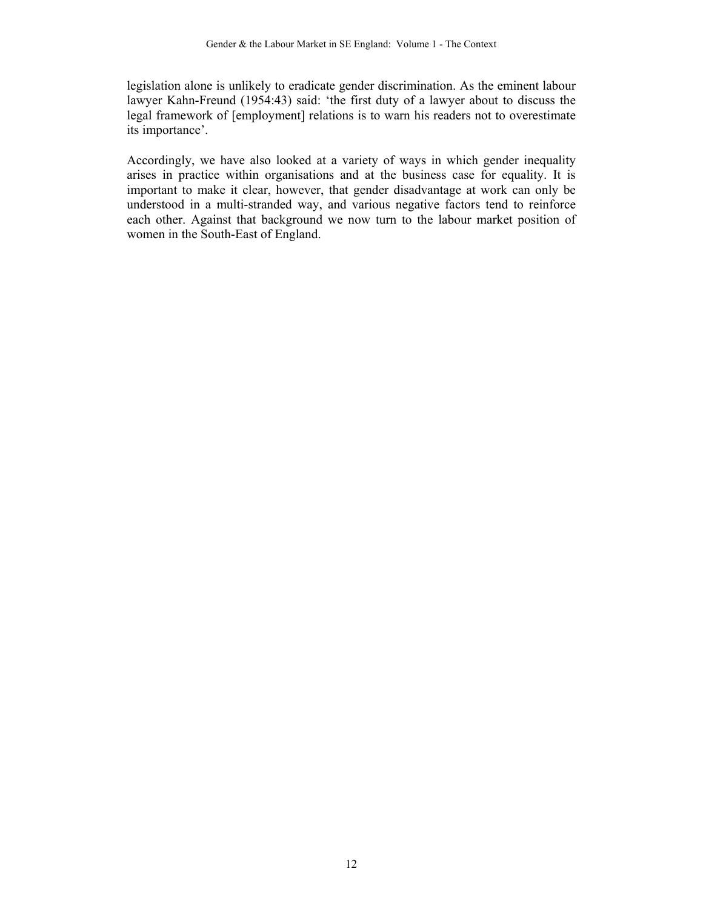legislation alone is unlikely to eradicate gender discrimination. As the eminent labour lawyer Kahn-Freund (1954:43) said: 'the first duty of a lawyer about to discuss the legal framework of [employment] relations is to warn his readers not to overestimate its importance'.

Accordingly, we have also looked at a variety of ways in which gender inequality arises in practice within organisations and at the business case for equality. It is important to make it clear, however, that gender disadvantage at work can only be understood in a multi-stranded way, and various negative factors tend to reinforce each other. Against that background we now turn to the labour market position of women in the South-East of England.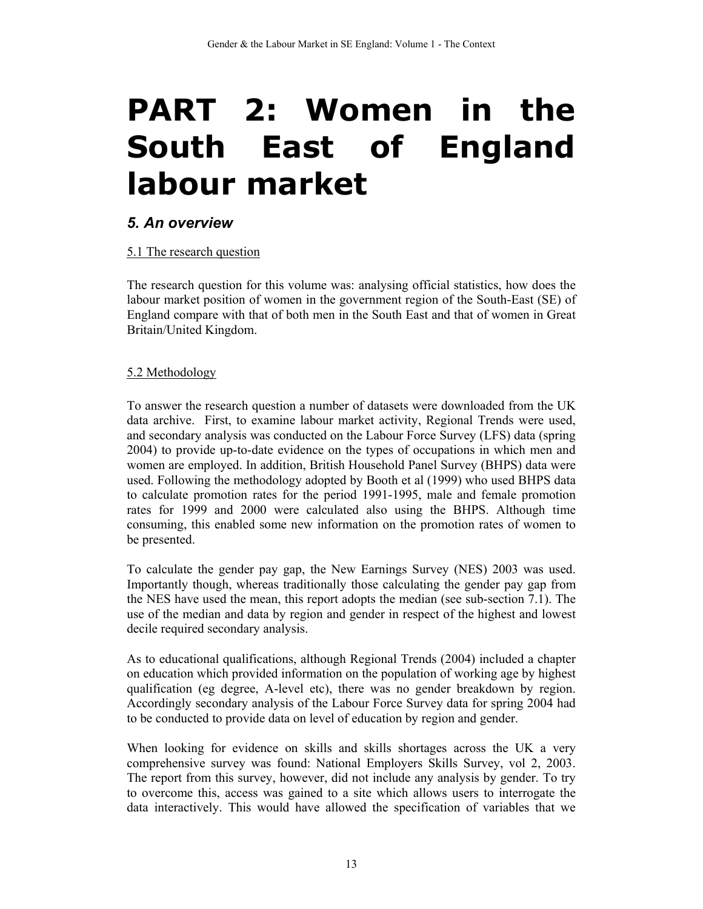# PART 2: Women in the **South East of England labour market**

### *5. An overview*

#### 5.1 The research question

The research question for this volume was: analysing official statistics, how does the labour market position of women in the government region of the South-East (SE) of England compare with that of both men in the South East and that of women in Great Britain/United Kingdom.

#### 5.2 Methodology

To answer the research question a number of datasets were downloaded from the UK data archive. First, to examine labour market activity, Regional Trends were used, and secondary analysis was conducted on the Labour Force Survey (LFS) data (spring 2004) to provide up-to-date evidence on the types of occupations in which men and women are employed. In addition, British Household Panel Survey (BHPS) data were used. Following the methodology adopted by Booth et al (1999) who used BHPS data to calculate promotion rates for the period 1991-1995, male and female promotion rates for 1999 and 2000 were calculated also using the BHPS. Although time consuming, this enabled some new information on the promotion rates of women to be presented.

To calculate the gender pay gap, the New Earnings Survey (NES) 2003 was used. Importantly though, whereas traditionally those calculating the gender pay gap from the NES have used the mean, this report adopts the median (see sub-section 7.1). The use of the median and data by region and gender in respect of the highest and lowest decile required secondary analysis.

As to educational qualifications, although Regional Trends (2004) included a chapter on education which provided information on the population of working age by highest qualification (eg degree, A-level etc), there was no gender breakdown by region. Accordingly secondary analysis of the Labour Force Survey data for spring 2004 had to be conducted to provide data on level of education by region and gender.

When looking for evidence on skills and skills shortages across the UK a very comprehensive survey was found: National Employers Skills Survey, vol 2, 2003. The report from this survey, however, did not include any analysis by gender. To try to overcome this, access was gained to a site which allows users to interrogate the data interactively. This would have allowed the specification of variables that we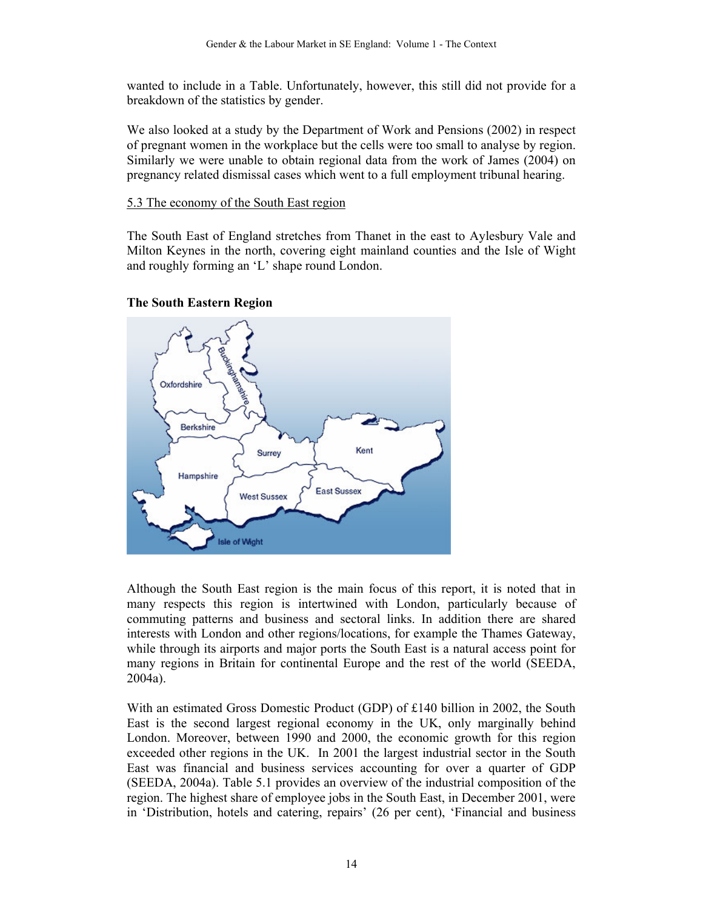wanted to include in a Table. Unfortunately, however, this still did not provide for a breakdown of the statistics by gender.

We also looked at a study by the Department of Work and Pensions (2002) in respect of pregnant women in the workplace but the cells were too small to analyse by region. Similarly we were unable to obtain regional data from the work of James (2004) on pregnancy related dismissal cases which went to a full employment tribunal hearing.

#### 5.3 The economy of the South East region

The South East of England stretches from Thanet in the east to Aylesbury Vale and Milton Keynes in the north, covering eight mainland counties and the Isle of Wight and roughly forming an 'L' shape round London.



#### **The South Eastern Region**

Although the South East region is the main focus of this report, it is noted that in many respects this region is intertwined with London, particularly because of commuting patterns and business and sectoral links. In addition there are shared interests with London and other regions/locations, for example the Thames Gateway, while through its airports and major ports the South East is a natural access point for many regions in Britain for continental Europe and the rest of the world (SEEDA, 2004a).

With an estimated Gross Domestic Product (GDP) of £140 billion in 2002, the South East is the second largest regional economy in the UK, only marginally behind London. Moreover, between 1990 and 2000, the economic growth for this region exceeded other regions in the UK. In 2001 the largest industrial sector in the South East was financial and business services accounting for over a quarter of GDP (SEEDA, 2004a). Table 5.1 provides an overview of the industrial composition of the region. The highest share of employee jobs in the South East, in December 2001, were in 'Distribution, hotels and catering, repairs' (26 per cent), 'Financial and business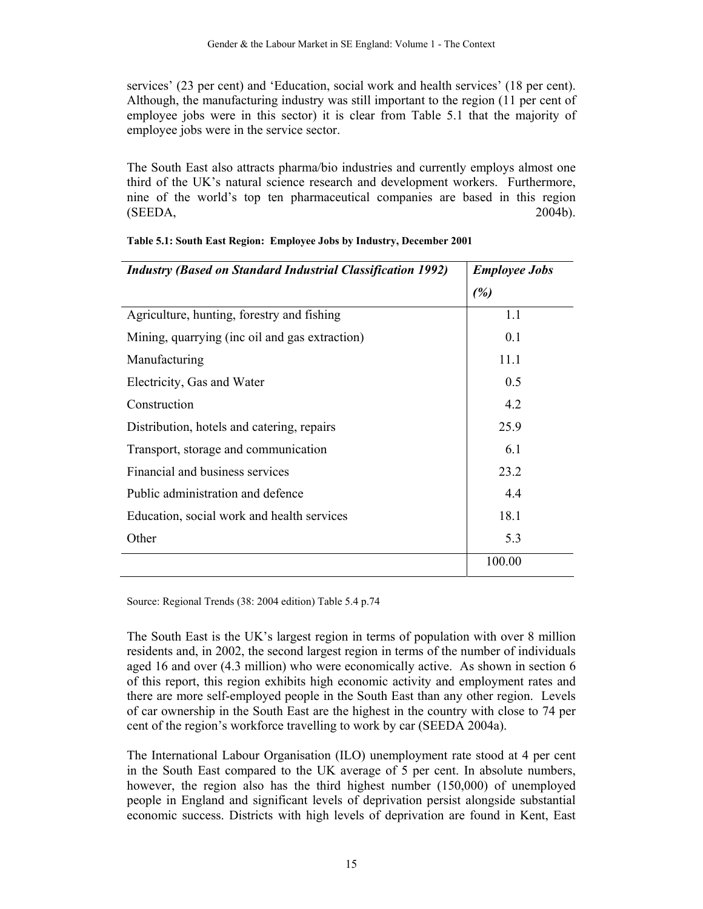services' (23 per cent) and 'Education, social work and health services' (18 per cent). Although, the manufacturing industry was still important to the region (11 per cent of employee jobs were in this sector) it is clear from Table 5.1 that the majority of employee jobs were in the service sector.

The South East also attracts pharma/bio industries and currently employs almost one third of the UK's natural science research and development workers. Furthermore, nine of the world's top ten pharmaceutical companies are based in this region  $(SEDA, 2004b).$ 

| <b>Employee Jobs</b> |
|----------------------|
| (%)                  |
| 1.1                  |
| 0.1                  |
| 11.1                 |
| 0.5                  |
| 4.2                  |
| 25.9                 |
| 6.1                  |
| 23.2                 |
| 4.4                  |
| 18.1                 |
| 5.3                  |
| 100.00               |
|                      |

| Table 5.1: South East Region: Employee Jobs by Industry, December 2001 |
|------------------------------------------------------------------------|

Source: Regional Trends (38: 2004 edition) Table 5.4 p.74

The South East is the UK's largest region in terms of population with over 8 million residents and, in 2002, the second largest region in terms of the number of individuals aged 16 and over (4.3 million) who were economically active. As shown in section 6 of this report, this region exhibits high economic activity and employment rates and there are more self-employed people in the South East than any other region. Levels of car ownership in the South East are the highest in the country with close to 74 per cent of the region's workforce travelling to work by car (SEEDA 2004a).

The International Labour Organisation (ILO) unemployment rate stood at 4 per cent in the South East compared to the UK average of 5 per cent. In absolute numbers, however, the region also has the third highest number (150,000) of unemployed people in England and significant levels of deprivation persist alongside substantial economic success. Districts with high levels of deprivation are found in Kent, East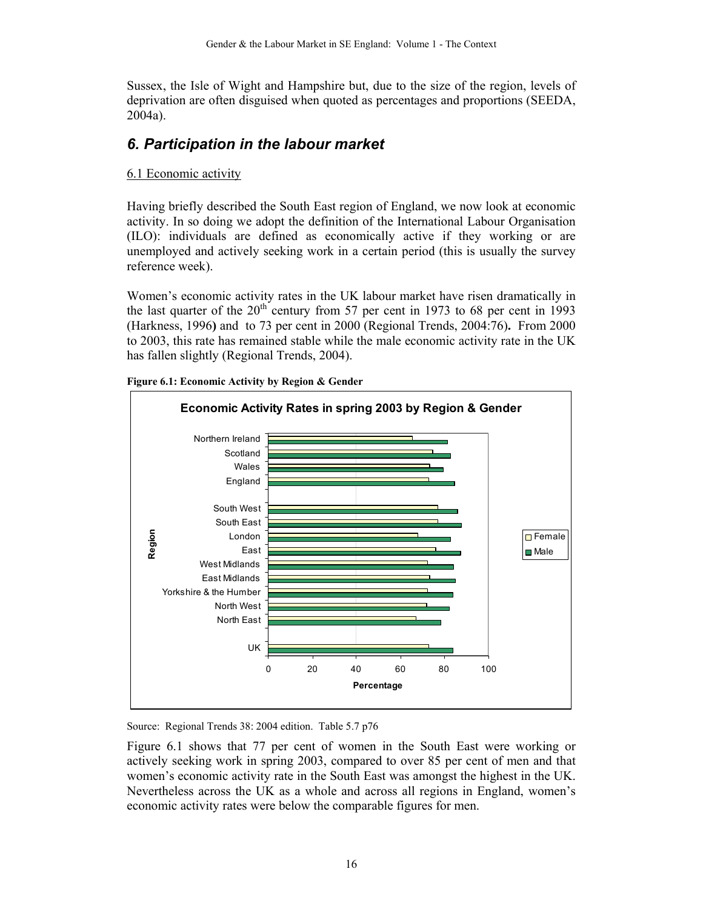Sussex, the Isle of Wight and Hampshire but, due to the size of the region, levels of deprivation are often disguised when quoted as percentages and proportions (SEEDA, 2004a).

## *6. Participation in the labour market*

#### 6.1 Economic activity

Having briefly described the South East region of England, we now look at economic activity. In so doing we adopt the definition of the International Labour Organisation (ILO): individuals are defined as economically active if they working or are unemployed and actively seeking work in a certain period (this is usually the survey reference week).

Women's economic activity rates in the UK labour market have risen dramatically in the last quarter of the  $20<sup>th</sup>$  century from 57 per cent in 1973 to 68 per cent in 1993 (Harkness, 1996**)** and to 73 per cent in 2000 (Regional Trends, 2004:76)**.** From 2000 to 2003, this rate has remained stable while the male economic activity rate in the UK has fallen slightly (Regional Trends, 2004).



**Figure 6.1: Economic Activity by Region & Gender** 

Source: Regional Trends 38: 2004 edition. Table 5.7 p76

Figure 6.1 shows that 77 per cent of women in the South East were working or actively seeking work in spring 2003, compared to over 85 per cent of men and that women's economic activity rate in the South East was amongst the highest in the UK. Nevertheless across the UK as a whole and across all regions in England, women's economic activity rates were below the comparable figures for men.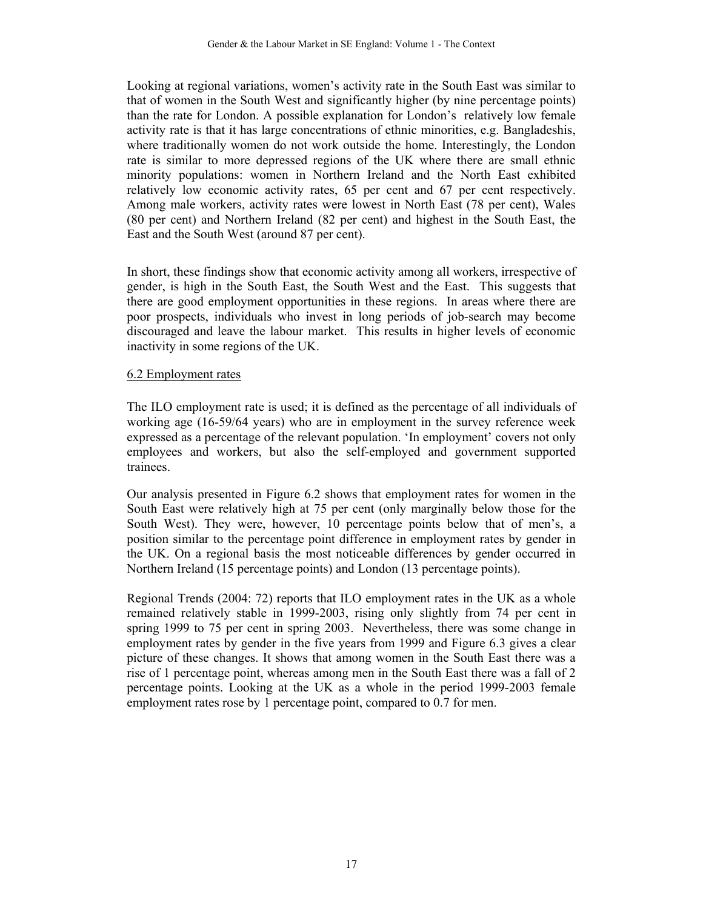Looking at regional variations, women's activity rate in the South East was similar to that of women in the South West and significantly higher (by nine percentage points) than the rate for London. A possible explanation for London's relatively low female activity rate is that it has large concentrations of ethnic minorities, e.g. Bangladeshis, where traditionally women do not work outside the home. Interestingly, the London rate is similar to more depressed regions of the UK where there are small ethnic minority populations: women in Northern Ireland and the North East exhibited relatively low economic activity rates, 65 per cent and 67 per cent respectively. Among male workers, activity rates were lowest in North East (78 per cent), Wales (80 per cent) and Northern Ireland (82 per cent) and highest in the South East, the East and the South West (around 87 per cent).

In short, these findings show that economic activity among all workers, irrespective of gender, is high in the South East, the South West and the East. This suggests that there are good employment opportunities in these regions. In areas where there are poor prospects, individuals who invest in long periods of job-search may become discouraged and leave the labour market. This results in higher levels of economic inactivity in some regions of the UK.

#### 6.2 Employment rates

The ILO employment rate is used; it is defined as the percentage of all individuals of working age (16-59/64 years) who are in employment in the survey reference week expressed as a percentage of the relevant population. 'In employment' covers not only employees and workers, but also the self-employed and government supported trainees.

Our analysis presented in Figure 6.2 shows that employment rates for women in the South East were relatively high at 75 per cent (only marginally below those for the South West). They were, however, 10 percentage points below that of men's, a position similar to the percentage point difference in employment rates by gender in the UK. On a regional basis the most noticeable differences by gender occurred in Northern Ireland (15 percentage points) and London (13 percentage points).

Regional Trends (2004: 72) reports that ILO employment rates in the UK as a whole remained relatively stable in 1999-2003, rising only slightly from 74 per cent in spring 1999 to 75 per cent in spring 2003. Nevertheless, there was some change in employment rates by gender in the five years from 1999 and Figure 6.3 gives a clear picture of these changes. It shows that among women in the South East there was a rise of 1 percentage point, whereas among men in the South East there was a fall of 2 percentage points. Looking at the UK as a whole in the period 1999-2003 female employment rates rose by 1 percentage point, compared to 0.7 for men.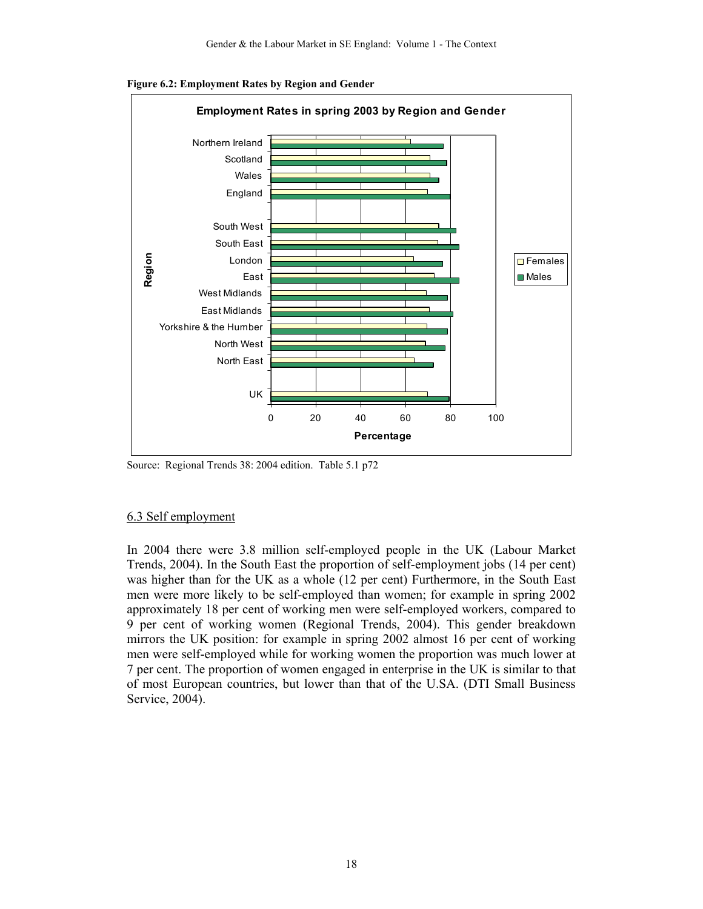

**Figure 6.2: Employment Rates by Region and Gender** 

Source: Regional Trends 38: 2004 edition. Table 5.1 p72

#### 6.3 Self employment

In 2004 there were 3.8 million self-employed people in the UK (Labour Market Trends, 2004). In the South East the proportion of self-employment jobs (14 per cent) was higher than for the UK as a whole (12 per cent) Furthermore, in the South East men were more likely to be self-employed than women; for example in spring 2002 approximately 18 per cent of working men were self-employed workers, compared to 9 per cent of working women (Regional Trends, 2004). This gender breakdown mirrors the UK position: for example in spring 2002 almost 16 per cent of working men were self-employed while for working women the proportion was much lower at 7 per cent. The proportion of women engaged in enterprise in the UK is similar to that of most European countries, but lower than that of the U.SA. (DTI Small Business Service, 2004).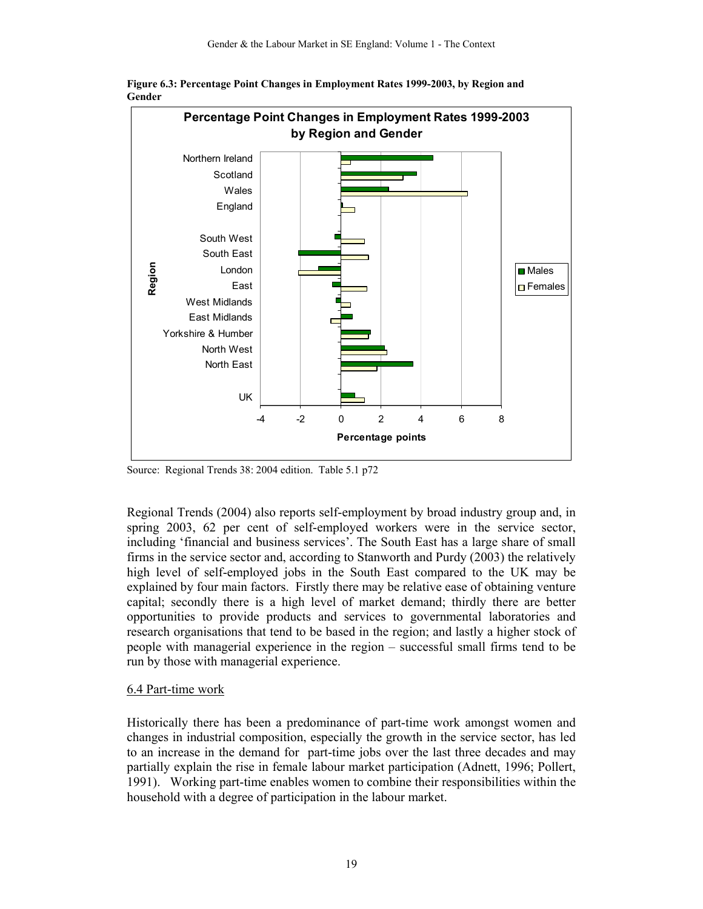

**Figure 6.3: Percentage Point Changes in Employment Rates 1999-2003, by Region and Gender**

Source: Regional Trends 38: 2004 edition. Table 5.1 p72

Regional Trends (2004) also reports self-employment by broad industry group and, in spring 2003, 62 per cent of self-employed workers were in the service sector, including 'financial and business services'. The South East has a large share of small firms in the service sector and, according to Stanworth and Purdy (2003) the relatively high level of self-employed jobs in the South East compared to the UK may be explained by four main factors. Firstly there may be relative ease of obtaining venture capital; secondly there is a high level of market demand; thirdly there are better opportunities to provide products and services to governmental laboratories and research organisations that tend to be based in the region; and lastly a higher stock of people with managerial experience in the region – successful small firms tend to be run by those with managerial experience.

#### 6.4 Part-time work

Historically there has been a predominance of part-time work amongst women and changes in industrial composition, especially the growth in the service sector, has led to an increase in the demand for part-time jobs over the last three decades and may partially explain the rise in female labour market participation (Adnett, 1996; Pollert, 1991). Working part-time enables women to combine their responsibilities within the household with a degree of participation in the labour market.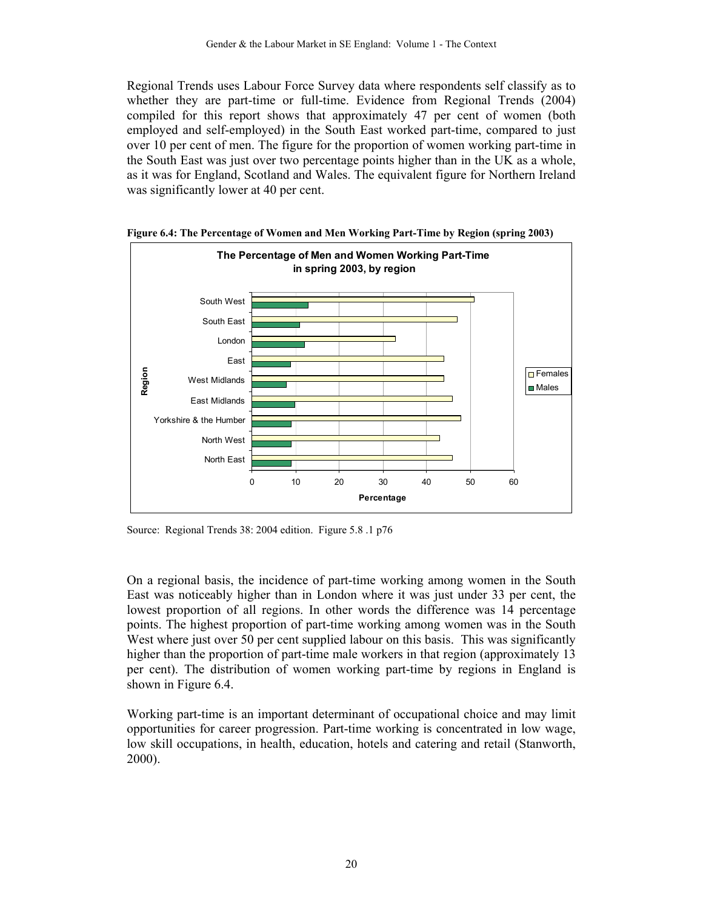Regional Trends uses Labour Force Survey data where respondents self classify as to whether they are part-time or full-time. Evidence from Regional Trends (2004) compiled for this report shows that approximately 47 per cent of women (both employed and self-employed) in the South East worked part-time, compared to just over 10 per cent of men. The figure for the proportion of women working part-time in the South East was just over two percentage points higher than in the UK as a whole, as it was for England, Scotland and Wales. The equivalent figure for Northern Ireland was significantly lower at 40 per cent.



**Figure 6.4: The Percentage of Women and Men Working Part-Time by Region (spring 2003)** 

Source: Regional Trends 38: 2004 edition. Figure 5.8 .1 p76

On a regional basis, the incidence of part-time working among women in the South East was noticeably higher than in London where it was just under 33 per cent, the lowest proportion of all regions. In other words the difference was 14 percentage points. The highest proportion of part-time working among women was in the South West where just over 50 per cent supplied labour on this basis. This was significantly higher than the proportion of part-time male workers in that region (approximately 13 per cent). The distribution of women working part-time by regions in England is shown in Figure 6.4.

Working part-time is an important determinant of occupational choice and may limit opportunities for career progression. Part-time working is concentrated in low wage, low skill occupations, in health, education, hotels and catering and retail (Stanworth, 2000).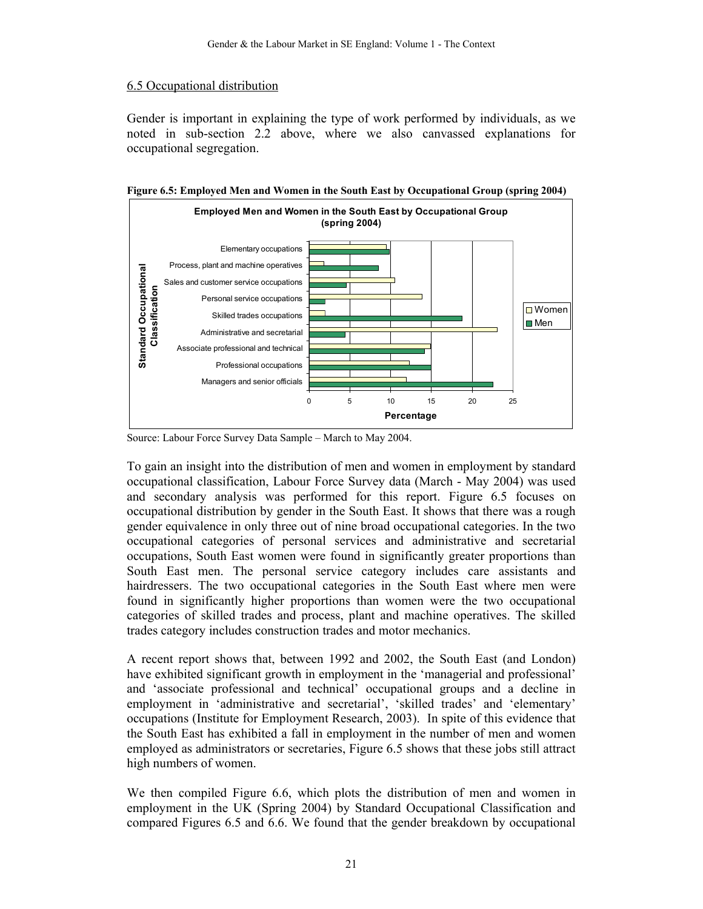#### 6.5 Occupational distribution

Gender is important in explaining the type of work performed by individuals, as we noted in sub-section 2.2 above, where we also canvassed explanations for occupational segregation.



**Figure 6.5: Employed Men and Women in the South East by Occupational Group (spring 2004)** 

Source: Labour Force Survey Data Sample – March to May 2004.

To gain an insight into the distribution of men and women in employment by standard occupational classification, Labour Force Survey data (March - May 2004) was used and secondary analysis was performed for this report. Figure 6.5 focuses on occupational distribution by gender in the South East. It shows that there was a rough gender equivalence in only three out of nine broad occupational categories. In the two occupational categories of personal services and administrative and secretarial occupations, South East women were found in significantly greater proportions than South East men. The personal service category includes care assistants and hairdressers. The two occupational categories in the South East where men were found in significantly higher proportions than women were the two occupational categories of skilled trades and process, plant and machine operatives. The skilled trades category includes construction trades and motor mechanics.

A recent report shows that, between 1992 and 2002, the South East (and London) have exhibited significant growth in employment in the 'managerial and professional' and 'associate professional and technical' occupational groups and a decline in employment in 'administrative and secretarial', 'skilled trades' and 'elementary' occupations (Institute for Employment Research, 2003). In spite of this evidence that the South East has exhibited a fall in employment in the number of men and women employed as administrators or secretaries, Figure 6.5 shows that these jobs still attract high numbers of women.

We then compiled Figure 6.6, which plots the distribution of men and women in employment in the UK (Spring 2004) by Standard Occupational Classification and compared Figures 6.5 and 6.6. We found that the gender breakdown by occupational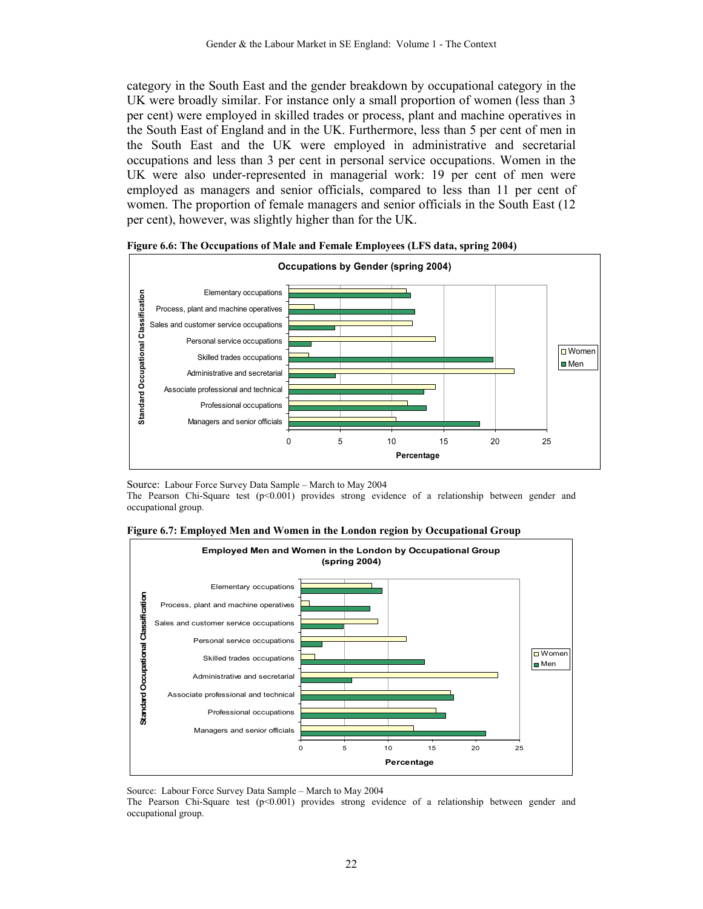category in the South East and the gender breakdown by occupational category in the UK were broadly similar. For instance only a small proportion of women (less than 3 per cent) were employed in skilled trades or process, plant and machine operatives in the South East of England and in the UK. Furthermore, less than 5 per cent of men in the South East and the UK were employed in administrative and secretarial occupations and less than 3 per cent in personal service occupations. Women in the UK were also under-represented in managerial work: 19 per cent of men were employed as managers and senior officials, compared to less than 11 per cent of women. The proportion of female managers and senior officials in the South East (12 per cent), however, was slightly higher than for the UK.





Source: Labour Force Survey Data Sample – March to May 2004

The Pearson Chi-Square test (p<0.001) provides strong evidence of a relationship between gender and occupational group.





Source: Labour Force Survey Data Sample – March to May 2004

The Pearson Chi-Square test  $(p<0.001)$  provides strong evidence of a relationship between gender and occupational group.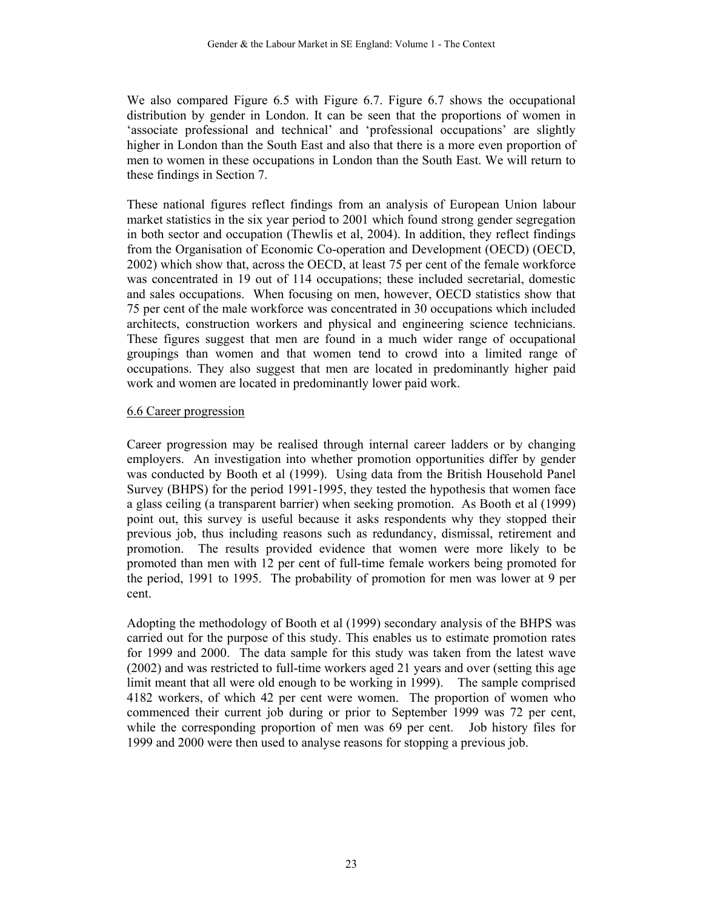We also compared Figure 6.5 with Figure 6.7. Figure 6.7 shows the occupational distribution by gender in London. It can be seen that the proportions of women in 'associate professional and technical' and 'professional occupations' are slightly higher in London than the South East and also that there is a more even proportion of men to women in these occupations in London than the South East. We will return to these findings in Section 7.

These national figures reflect findings from an analysis of European Union labour market statistics in the six year period to 2001 which found strong gender segregation in both sector and occupation (Thewlis et al, 2004). In addition, they reflect findings from the Organisation of Economic Co-operation and Development (OECD) (OECD, 2002) which show that, across the OECD, at least 75 per cent of the female workforce was concentrated in 19 out of 114 occupations; these included secretarial, domestic and sales occupations. When focusing on men, however, OECD statistics show that 75 per cent of the male workforce was concentrated in 30 occupations which included architects, construction workers and physical and engineering science technicians. These figures suggest that men are found in a much wider range of occupational groupings than women and that women tend to crowd into a limited range of occupations. They also suggest that men are located in predominantly higher paid work and women are located in predominantly lower paid work.

#### 6.6 Career progression

Career progression may be realised through internal career ladders or by changing employers. An investigation into whether promotion opportunities differ by gender was conducted by Booth et al (1999). Using data from the British Household Panel Survey (BHPS) for the period 1991-1995, they tested the hypothesis that women face a glass ceiling (a transparent barrier) when seeking promotion. As Booth et al (1999) point out, this survey is useful because it asks respondents why they stopped their previous job, thus including reasons such as redundancy, dismissal, retirement and promotion. The results provided evidence that women were more likely to be promoted than men with 12 per cent of full-time female workers being promoted for the period, 1991 to 1995. The probability of promotion for men was lower at 9 per cent.

Adopting the methodology of Booth et al (1999) secondary analysis of the BHPS was carried out for the purpose of this study. This enables us to estimate promotion rates for 1999 and 2000. The data sample for this study was taken from the latest wave (2002) and was restricted to full-time workers aged 21 years and over (setting this age limit meant that all were old enough to be working in 1999). The sample comprised 4182 workers, of which 42 per cent were women. The proportion of women who commenced their current job during or prior to September 1999 was 72 per cent, while the corresponding proportion of men was 69 per cent. Job history files for 1999 and 2000 were then used to analyse reasons for stopping a previous job.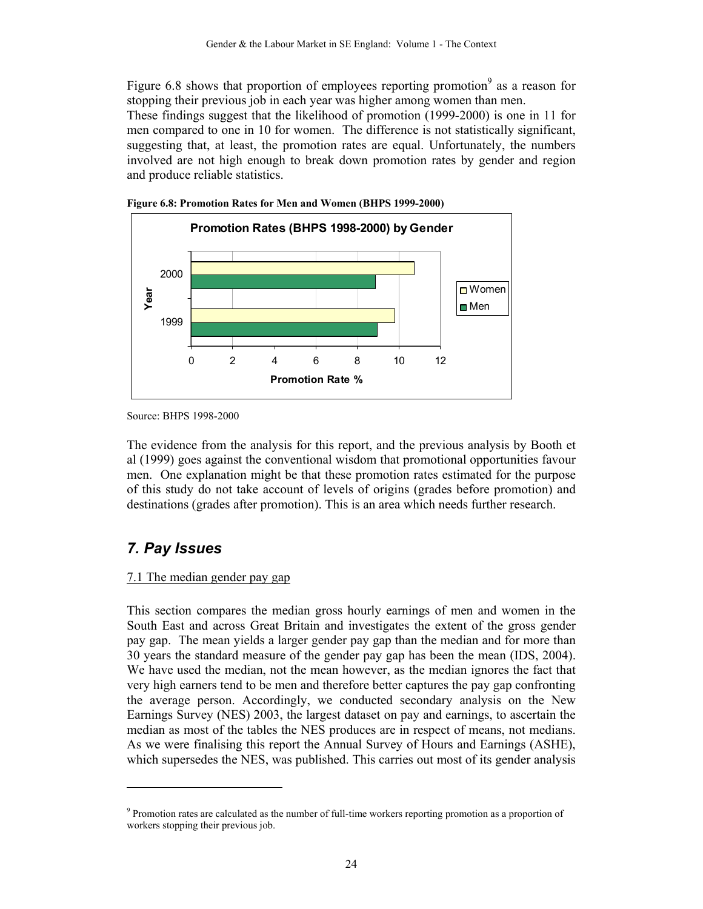Figure 6.8 shows that proportion of employees reporting promotion<sup>9</sup> as a reason for stopping their previous job in each year was higher among women than men. These findings suggest that the likelihood of promotion (1999-2000) is one in 11 for men compared to one in 10 for women. The difference is not statistically significant, suggesting that, at least, the promotion rates are equal. Unfortunately, the numbers involved are not high enough to break down promotion rates by gender and region and produce reliable statistics.





The evidence from the analysis for this report, and the previous analysis by Booth et al (1999) goes against the conventional wisdom that promotional opportunities favour men. One explanation might be that these promotion rates estimated for the purpose of this study do not take account of levels of origins (grades before promotion) and destinations (grades after promotion). This is an area which needs further research.

## *7. Pay Issues*

 $\overline{a}$ 

#### 7.1 The median gender pay gap

This section compares the median gross hourly earnings of men and women in the South East and across Great Britain and investigates the extent of the gross gender pay gap. The mean yields a larger gender pay gap than the median and for more than 30 years the standard measure of the gender pay gap has been the mean (IDS, 2004). We have used the median, not the mean however, as the median ignores the fact that very high earners tend to be men and therefore better captures the pay gap confronting the average person. Accordingly, we conducted secondary analysis on the New Earnings Survey (NES) 2003, the largest dataset on pay and earnings, to ascertain the median as most of the tables the NES produces are in respect of means, not medians. As we were finalising this report the Annual Survey of Hours and Earnings (ASHE), which supersedes the NES, was published. This carries out most of its gender analysis

Source: BHPS 1998-2000

<sup>&</sup>lt;sup>9</sup> Promotion rates are calculated as the number of full-time workers reporting promotion as a proportion of workers stopping their previous job.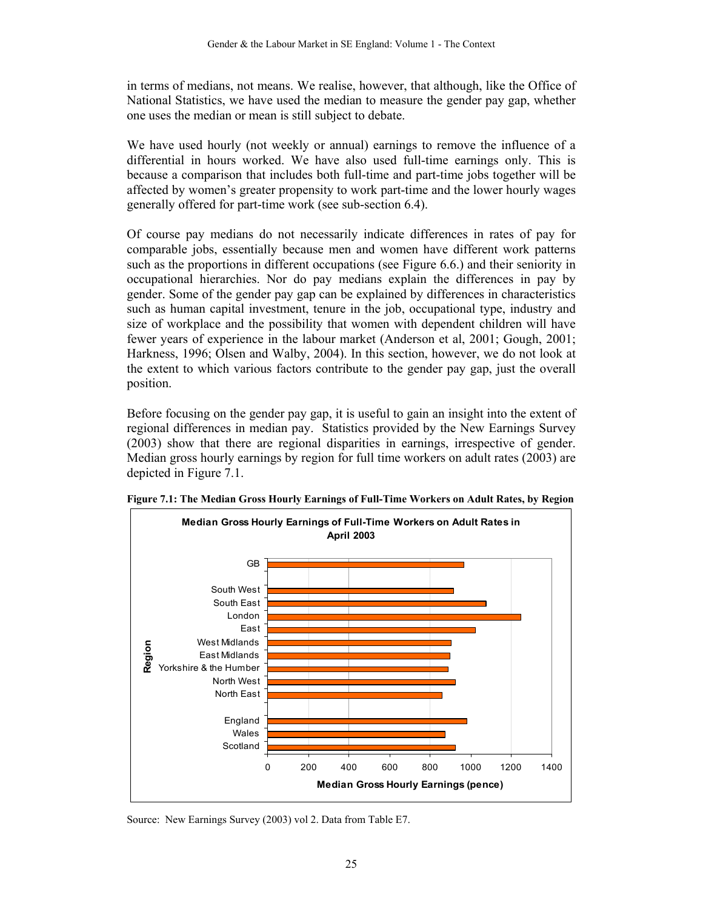in terms of medians, not means. We realise, however, that although, like the Office of National Statistics, we have used the median to measure the gender pay gap, whether one uses the median or mean is still subject to debate.

We have used hourly (not weekly or annual) earnings to remove the influence of a differential in hours worked. We have also used full-time earnings only. This is because a comparison that includes both full-time and part-time jobs together will be affected by women's greater propensity to work part-time and the lower hourly wages generally offered for part-time work (see sub-section 6.4).

Of course pay medians do not necessarily indicate differences in rates of pay for comparable jobs, essentially because men and women have different work patterns such as the proportions in different occupations (see Figure 6.6.) and their seniority in occupational hierarchies. Nor do pay medians explain the differences in pay by gender. Some of the gender pay gap can be explained by differences in characteristics such as human capital investment, tenure in the job, occupational type, industry and size of workplace and the possibility that women with dependent children will have fewer years of experience in the labour market (Anderson et al, 2001; Gough, 2001; Harkness, 1996; Olsen and Walby, 2004). In this section, however, we do not look at the extent to which various factors contribute to the gender pay gap, just the overall position.

Before focusing on the gender pay gap, it is useful to gain an insight into the extent of regional differences in median pay. Statistics provided by the New Earnings Survey (2003) show that there are regional disparities in earnings, irrespective of gender. Median gross hourly earnings by region for full time workers on adult rates (2003) are depicted in Figure 7.1.



**Figure 7.1: The Median Gross Hourly Earnings of Full-Time Workers on Adult Rates, by Region** 

Source: New Earnings Survey (2003) vol 2. Data from Table E7.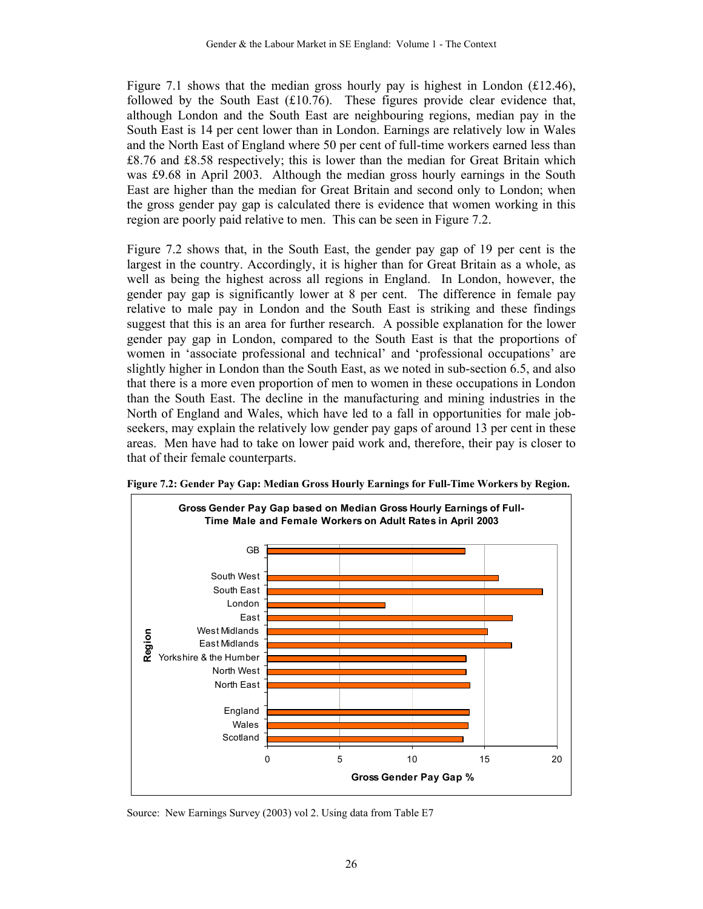Figure 7.1 shows that the median gross hourly pay is highest in London (£12.46), followed by the South East (£10.76). These figures provide clear evidence that, although London and the South East are neighbouring regions, median pay in the South East is 14 per cent lower than in London. Earnings are relatively low in Wales and the North East of England where 50 per cent of full-time workers earned less than £8.76 and £8.58 respectively; this is lower than the median for Great Britain which was £9.68 in April 2003. Although the median gross hourly earnings in the South East are higher than the median for Great Britain and second only to London; when the gross gender pay gap is calculated there is evidence that women working in this region are poorly paid relative to men. This can be seen in Figure 7.2.

Figure 7.2 shows that, in the South East, the gender pay gap of 19 per cent is the largest in the country. Accordingly, it is higher than for Great Britain as a whole, as well as being the highest across all regions in England. In London, however, the gender pay gap is significantly lower at 8 per cent. The difference in female pay relative to male pay in London and the South East is striking and these findings suggest that this is an area for further research. A possible explanation for the lower gender pay gap in London, compared to the South East is that the proportions of women in 'associate professional and technical' and 'professional occupations' are slightly higher in London than the South East, as we noted in sub-section 6.5, and also that there is a more even proportion of men to women in these occupations in London than the South East. The decline in the manufacturing and mining industries in the North of England and Wales, which have led to a fall in opportunities for male jobseekers, may explain the relatively low gender pay gaps of around 13 per cent in these areas. Men have had to take on lower paid work and, therefore, their pay is closer to that of their female counterparts.



**Figure 7.2: Gender Pay Gap: Median Gross Hourly Earnings for Full-Time Workers by Region.** 

Source: New Earnings Survey (2003) vol 2. Using data from Table E7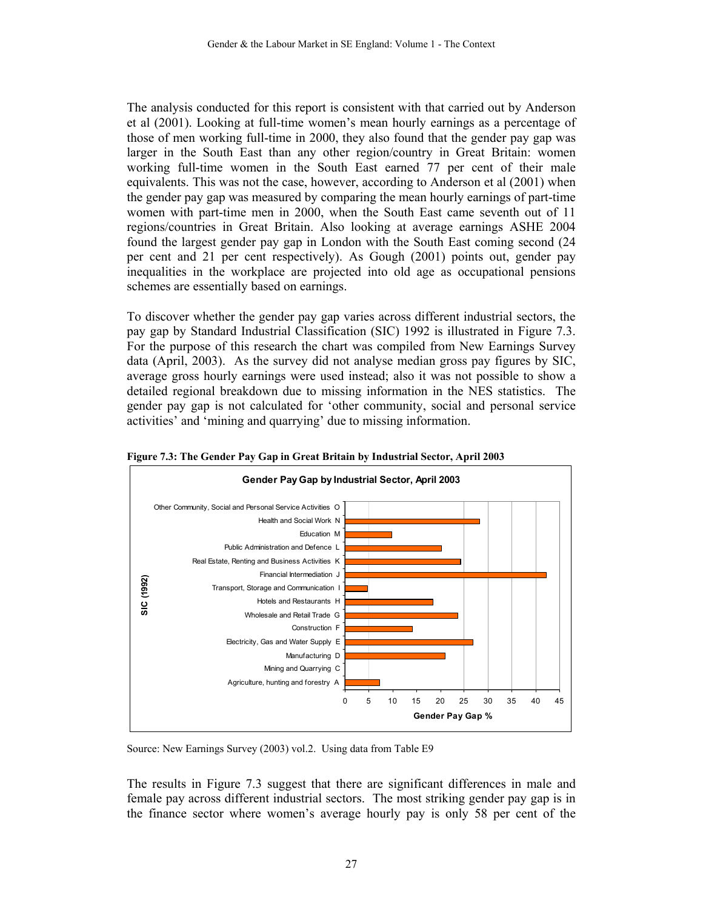The analysis conducted for this report is consistent with that carried out by Anderson et al (2001). Looking at full-time women's mean hourly earnings as a percentage of those of men working full-time in 2000, they also found that the gender pay gap was larger in the South East than any other region/country in Great Britain: women working full-time women in the South East earned 77 per cent of their male equivalents. This was not the case, however, according to Anderson et al (2001) when the gender pay gap was measured by comparing the mean hourly earnings of part-time women with part-time men in 2000, when the South East came seventh out of 11 regions/countries in Great Britain. Also looking at average earnings ASHE 2004 found the largest gender pay gap in London with the South East coming second (24 per cent and 21 per cent respectively). As Gough (2001) points out, gender pay inequalities in the workplace are projected into old age as occupational pensions schemes are essentially based on earnings.

To discover whether the gender pay gap varies across different industrial sectors, the pay gap by Standard Industrial Classification (SIC) 1992 is illustrated in Figure 7.3. For the purpose of this research the chart was compiled from New Earnings Survey data (April, 2003). As the survey did not analyse median gross pay figures by SIC, average gross hourly earnings were used instead; also it was not possible to show a detailed regional breakdown due to missing information in the NES statistics. The gender pay gap is not calculated for 'other community, social and personal service activities' and 'mining and quarrying' due to missing information.



**Figure 7.3: The Gender Pay Gap in Great Britain by Industrial Sector, April 2003** 

Source: New Earnings Survey (2003) vol.2. Using data from Table E9

The results in Figure 7.3 suggest that there are significant differences in male and female pay across different industrial sectors. The most striking gender pay gap is in the finance sector where women's average hourly pay is only 58 per cent of the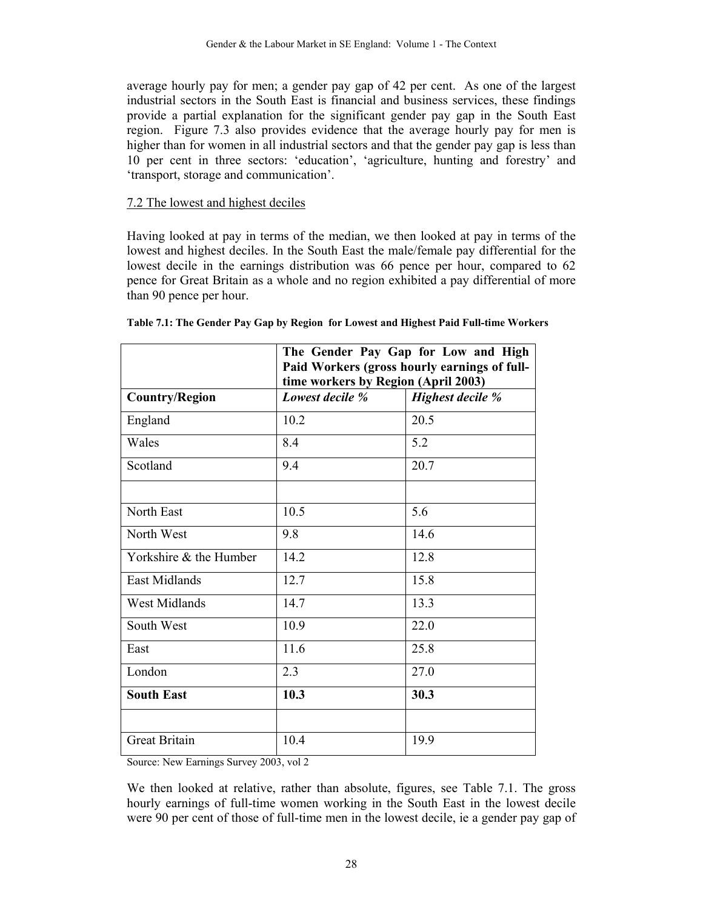average hourly pay for men; a gender pay gap of 42 per cent. As one of the largest industrial sectors in the South East is financial and business services, these findings provide a partial explanation for the significant gender pay gap in the South East region. Figure 7.3 also provides evidence that the average hourly pay for men is higher than for women in all industrial sectors and that the gender pay gap is less than 10 per cent in three sectors: 'education', 'agriculture, hunting and forestry' and 'transport, storage and communication'.

#### 7.2 The lowest and highest deciles

Having looked at pay in terms of the median, we then looked at pay in terms of the lowest and highest deciles. In the South East the male/female pay differential for the lowest decile in the earnings distribution was 66 pence per hour, compared to 62 pence for Great Britain as a whole and no region exhibited a pay differential of more than 90 pence per hour.

|                        | The Gender Pay Gap for Low and High<br>Paid Workers (gross hourly earnings of full-<br>time workers by Region (April 2003) |      |  |  |  |
|------------------------|----------------------------------------------------------------------------------------------------------------------------|------|--|--|--|
| <b>Country/Region</b>  | Highest decile %<br>Lowest decile %                                                                                        |      |  |  |  |
| England                | 10.2                                                                                                                       | 20.5 |  |  |  |
| Wales                  | 8.4                                                                                                                        | 5.2  |  |  |  |
| Scotland               | 9.4                                                                                                                        | 20.7 |  |  |  |
|                        |                                                                                                                            |      |  |  |  |
| North East             | 10.5                                                                                                                       | 5.6  |  |  |  |
| North West             | 9.8                                                                                                                        | 14.6 |  |  |  |
| Yorkshire & the Humber | 14.2                                                                                                                       | 12.8 |  |  |  |
| <b>East Midlands</b>   | 12.7                                                                                                                       | 15.8 |  |  |  |
| <b>West Midlands</b>   | 14.7                                                                                                                       | 13.3 |  |  |  |
| South West             | 10.9                                                                                                                       | 22.0 |  |  |  |
| East                   | 11.6                                                                                                                       | 25.8 |  |  |  |
| London                 | 2.3                                                                                                                        | 27.0 |  |  |  |
| <b>South East</b>      | 10.3                                                                                                                       | 30.3 |  |  |  |
|                        |                                                                                                                            |      |  |  |  |
| <b>Great Britain</b>   | 10.4                                                                                                                       | 19.9 |  |  |  |

|  | Table 7.1: The Gender Pay Gap by Region for Lowest and Highest Paid Full-time Workers |
|--|---------------------------------------------------------------------------------------|

Source: New Earnings Survey 2003, vol 2

We then looked at relative, rather than absolute, figures, see Table 7.1. The gross hourly earnings of full-time women working in the South East in the lowest decile were 90 per cent of those of full-time men in the lowest decile, ie a gender pay gap of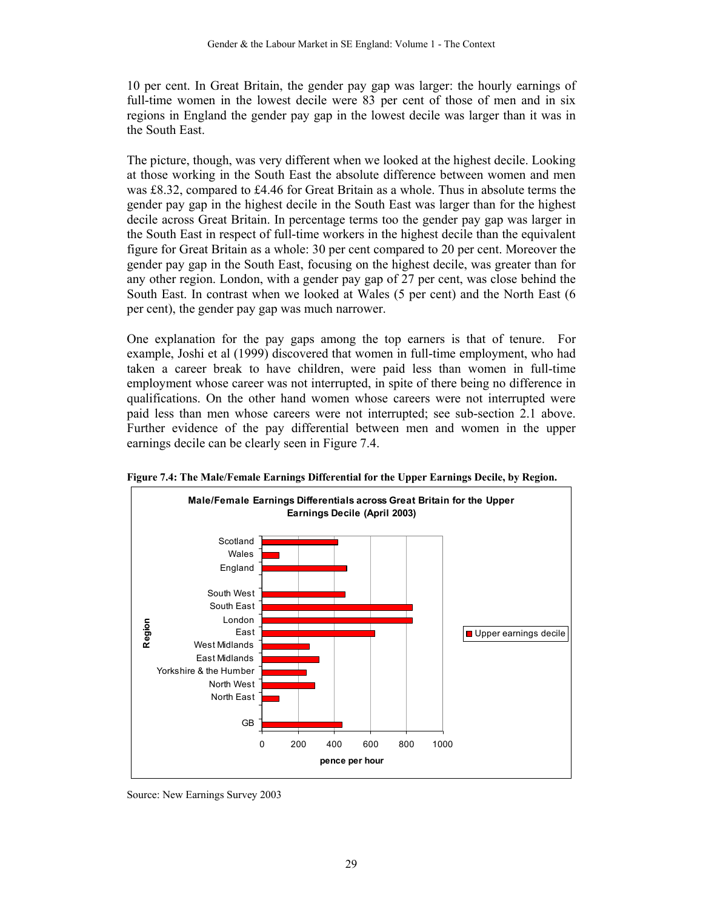10 per cent. In Great Britain, the gender pay gap was larger: the hourly earnings of full-time women in the lowest decile were 83 per cent of those of men and in six regions in England the gender pay gap in the lowest decile was larger than it was in the South East.

The picture, though, was very different when we looked at the highest decile. Looking at those working in the South East the absolute difference between women and men was £8.32, compared to £4.46 for Great Britain as a whole. Thus in absolute terms the gender pay gap in the highest decile in the South East was larger than for the highest decile across Great Britain. In percentage terms too the gender pay gap was larger in the South East in respect of full-time workers in the highest decile than the equivalent figure for Great Britain as a whole: 30 per cent compared to 20 per cent. Moreover the gender pay gap in the South East, focusing on the highest decile, was greater than for any other region. London, with a gender pay gap of 27 per cent, was close behind the South East. In contrast when we looked at Wales (5 per cent) and the North East (6 per cent), the gender pay gap was much narrower.

One explanation for the pay gaps among the top earners is that of tenure. For example, Joshi et al (1999) discovered that women in full-time employment, who had taken a career break to have children, were paid less than women in full-time employment whose career was not interrupted, in spite of there being no difference in qualifications. On the other hand women whose careers were not interrupted were paid less than men whose careers were not interrupted; see sub-section 2.1 above. Further evidence of the pay differential between men and women in the upper earnings decile can be clearly seen in Figure 7.4.



**Figure 7.4: The Male/Female Earnings Differential for the Upper Earnings Decile, by Region.** 

Source: New Earnings Survey 2003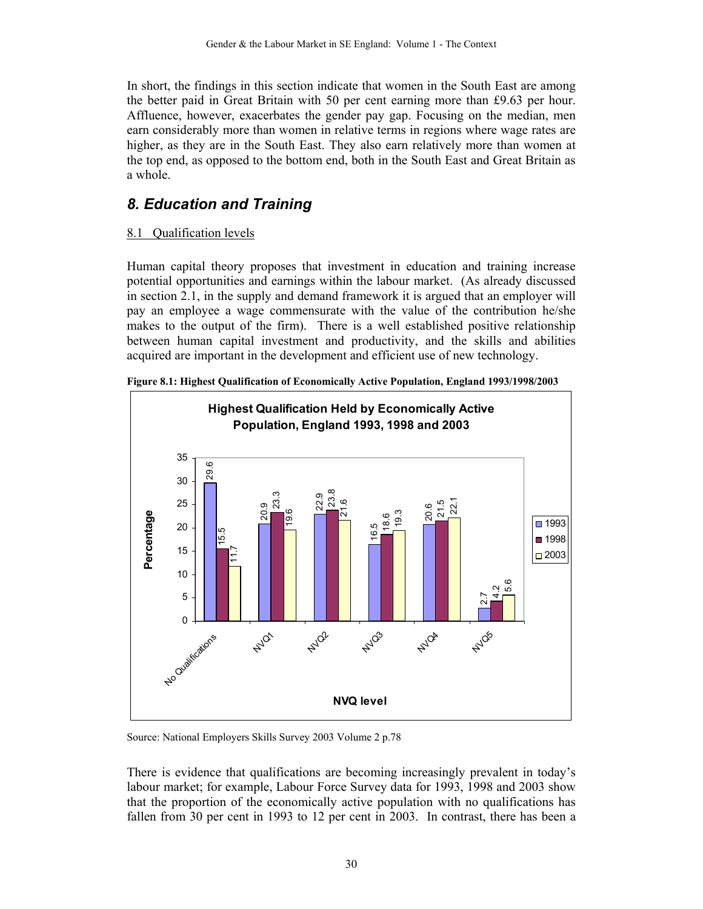In short, the findings in this section indicate that women in the South East are among the better paid in Great Britain with 50 per cent earning more than £9.63 per hour. Affluence, however, exacerbates the gender pay gap. Focusing on the median, men earn considerably more than women in relative terms in regions where wage rates are higher, as they are in the South East. They also earn relatively more than women at the top end, as opposed to the bottom end, both in the South East and Great Britain as a whole.

## *8. Education and Training*

#### 8.1 Qualification levels

Human capital theory proposes that investment in education and training increase potential opportunities and earnings within the labour market. (As already discussed in section 2.1, in the supply and demand framework it is argued that an employer will pay an employee a wage commensurate with the value of the contribution he/she makes to the output of the firm). There is a well established positive relationship between human capital investment and productivity, and the skills and abilities acquired are important in the development and efficient use of new technology.



**Figure 8.1: Highest Qualification of Economically Active Population, England 1993/1998/2003** 

Source: National Employers Skills Survey 2003 Volume 2 p.78

There is evidence that qualifications are becoming increasingly prevalent in today's labour market; for example, Labour Force Survey data for 1993, 1998 and 2003 show that the proportion of the economically active population with no qualifications has fallen from 30 per cent in 1993 to 12 per cent in 2003. In contrast, there has been a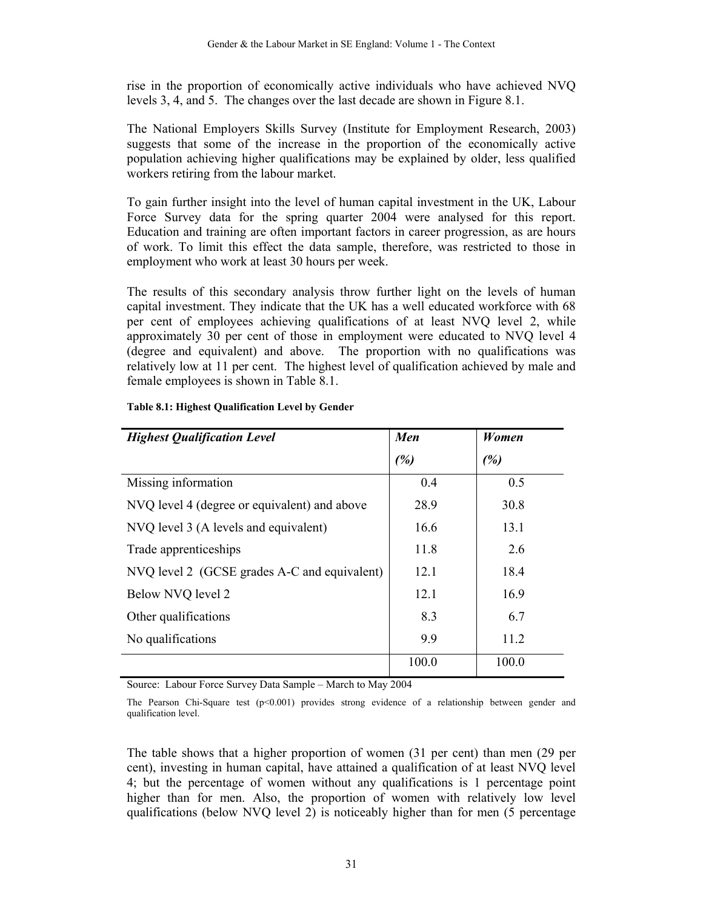rise in the proportion of economically active individuals who have achieved NVQ levels 3, 4, and 5. The changes over the last decade are shown in Figure 8.1.

The National Employers Skills Survey (Institute for Employment Research, 2003) suggests that some of the increase in the proportion of the economically active population achieving higher qualifications may be explained by older, less qualified workers retiring from the labour market.

To gain further insight into the level of human capital investment in the UK, Labour Force Survey data for the spring quarter 2004 were analysed for this report. Education and training are often important factors in career progression, as are hours of work. To limit this effect the data sample, therefore, was restricted to those in employment who work at least 30 hours per week.

The results of this secondary analysis throw further light on the levels of human capital investment. They indicate that the UK has a well educated workforce with 68 per cent of employees achieving qualifications of at least NVQ level 2, while approximately 30 per cent of those in employment were educated to NVQ level 4 (degree and equivalent) and above. The proportion with no qualifications was relatively low at 11 per cent. The highest level of qualification achieved by male and female employees is shown in Table 8.1.

| <b>Highest Qualification Level</b>           | Men             | Women |
|----------------------------------------------|-----------------|-------|
|                                              | (%)             | (%)   |
| Missing information                          | 0.4             | 0.5   |
| NVQ level 4 (degree or equivalent) and above | 28.9            | 30.8  |
| NVQ level 3 (A levels and equivalent)        | 16.6            | 13.1  |
| Trade apprenticeships                        | 11.8            | 2.6   |
| NVQ level 2 (GCSE grades A-C and equivalent) | 12 <sub>1</sub> | 18.4  |
| Below NVQ level 2                            | 12.1            | 16.9  |
| Other qualifications                         | 8.3             | 6.7   |
| No qualifications                            | 9.9             | 11.2  |
|                                              | 100.0           | 100.0 |

#### **Table 8.1: Highest Qualification Level by Gender**

Source: Labour Force Survey Data Sample – March to May 2004

The Pearson Chi-Square test  $(p<0.001)$  provides strong evidence of a relationship between gender and qualification level.

The table shows that a higher proportion of women (31 per cent) than men (29 per cent), investing in human capital, have attained a qualification of at least NVQ level 4; but the percentage of women without any qualifications is 1 percentage point higher than for men. Also, the proportion of women with relatively low level qualifications (below NVQ level 2) is noticeably higher than for men (5 percentage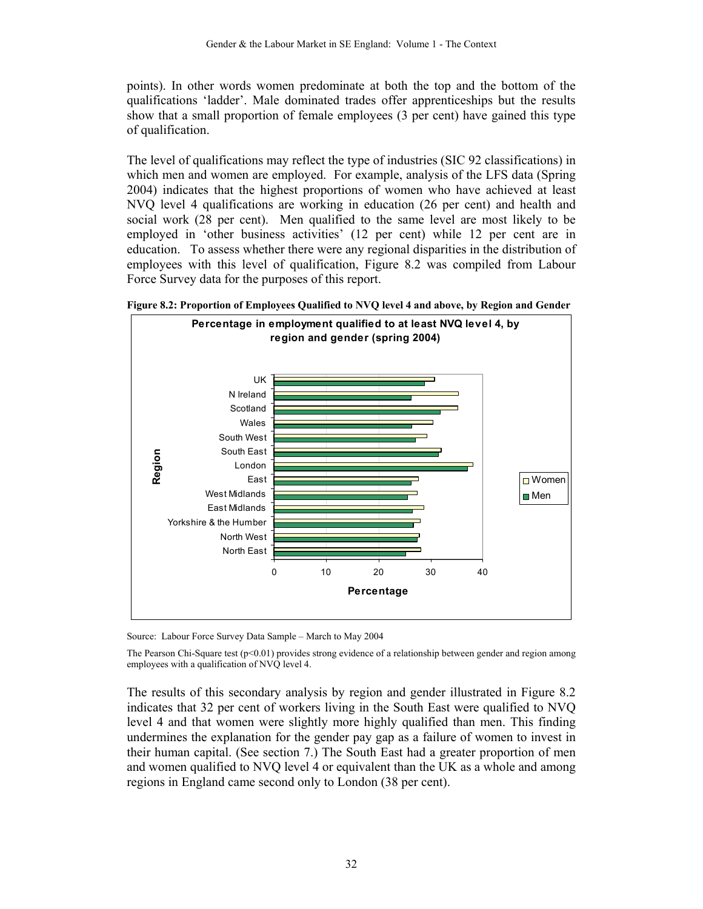points). In other words women predominate at both the top and the bottom of the qualifications 'ladder'. Male dominated trades offer apprenticeships but the results show that a small proportion of female employees (3 per cent) have gained this type of qualification.

The level of qualifications may reflect the type of industries (SIC 92 classifications) in which men and women are employed. For example, analysis of the LFS data (Spring 2004) indicates that the highest proportions of women who have achieved at least NVQ level 4 qualifications are working in education (26 per cent) and health and social work (28 per cent). Men qualified to the same level are most likely to be employed in 'other business activities' (12 per cent) while 12 per cent are in education. To assess whether there were any regional disparities in the distribution of employees with this level of qualification, Figure 8.2 was compiled from Labour Force Survey data for the purposes of this report.





Source: Labour Force Survey Data Sample – March to May 2004

The Pearson Chi-Square test (p<0.01) provides strong evidence of a relationship between gender and region among employees with a qualification of NVQ level 4.

The results of this secondary analysis by region and gender illustrated in Figure 8.2 indicates that 32 per cent of workers living in the South East were qualified to NVQ level 4 and that women were slightly more highly qualified than men. This finding undermines the explanation for the gender pay gap as a failure of women to invest in their human capital. (See section 7.) The South East had a greater proportion of men and women qualified to NVQ level 4 or equivalent than the UK as a whole and among regions in England came second only to London (38 per cent).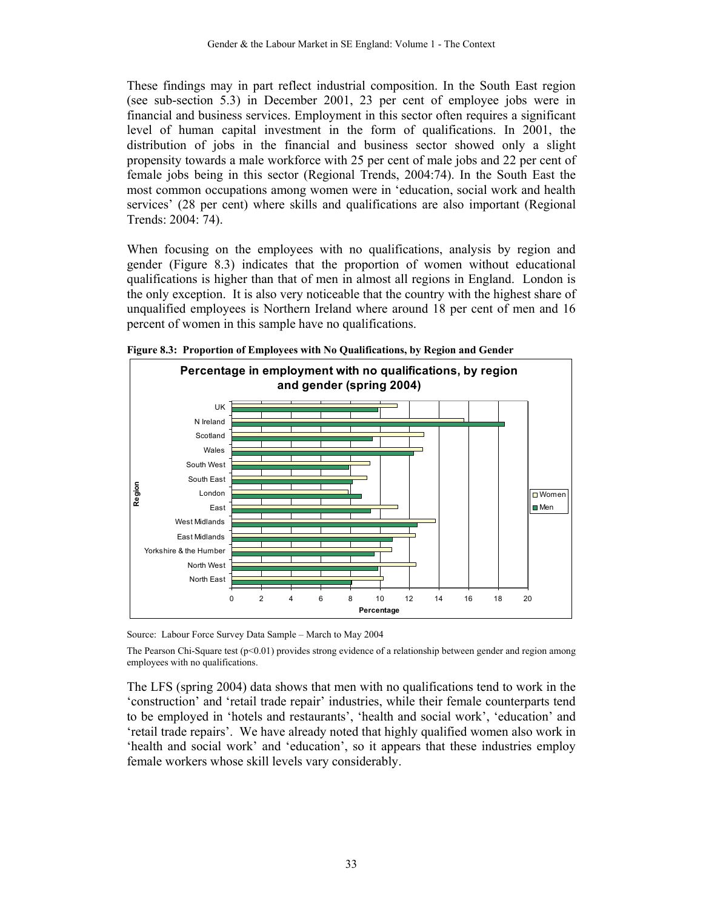These findings may in part reflect industrial composition. In the South East region (see sub-section 5.3) in December 2001, 23 per cent of employee jobs were in financial and business services. Employment in this sector often requires a significant level of human capital investment in the form of qualifications. In 2001, the distribution of jobs in the financial and business sector showed only a slight propensity towards a male workforce with 25 per cent of male jobs and 22 per cent of female jobs being in this sector (Regional Trends, 2004:74). In the South East the most common occupations among women were in 'education, social work and health services' (28 per cent) where skills and qualifications are also important (Regional Trends: 2004: 74).

When focusing on the employees with no qualifications, analysis by region and gender (Figure 8.3) indicates that the proportion of women without educational qualifications is higher than that of men in almost all regions in England. London is the only exception. It is also very noticeable that the country with the highest share of unqualified employees is Northern Ireland where around 18 per cent of men and 16 percent of women in this sample have no qualifications.



**Figure 8.3: Proportion of Employees with No Qualifications, by Region and Gender** 

Source: Labour Force Survey Data Sample – March to May 2004

The Pearson Chi-Square test  $(p<0.01)$  provides strong evidence of a relationship between gender and region among employees with no qualifications.

The LFS (spring 2004) data shows that men with no qualifications tend to work in the 'construction' and 'retail trade repair' industries, while their female counterparts tend to be employed in 'hotels and restaurants', 'health and social work', 'education' and 'retail trade repairs'. We have already noted that highly qualified women also work in 'health and social work' and 'education', so it appears that these industries employ female workers whose skill levels vary considerably.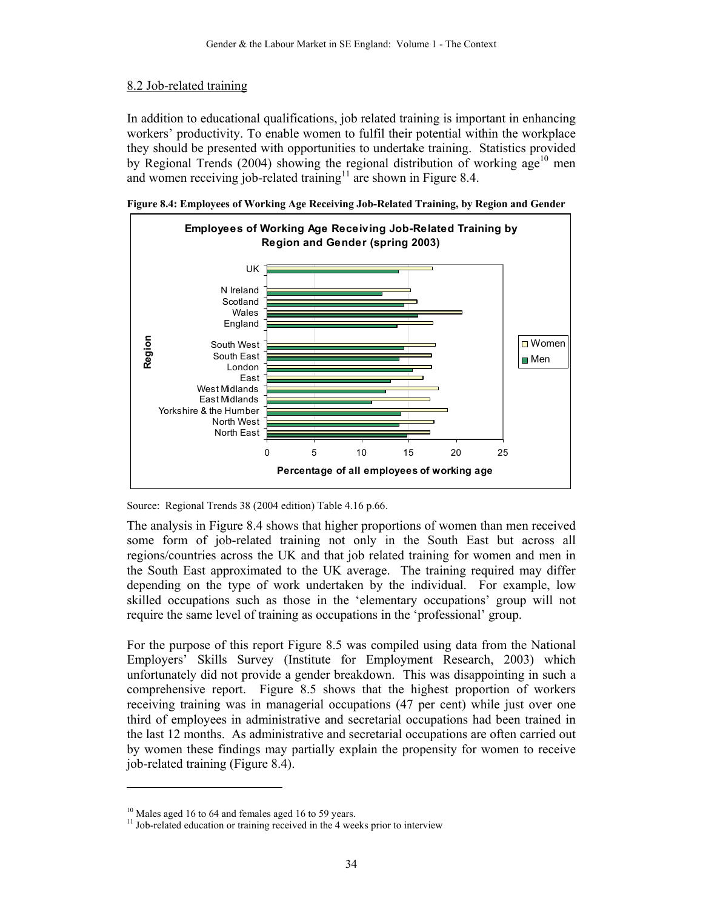#### 8.2 Job-related training

In addition to educational qualifications, job related training is important in enhancing workers' productivity. To enable women to fulfil their potential within the workplace they should be presented with opportunities to undertake training. Statistics provided by Regional Trends (2004) showing the regional distribution of working age<sup>10</sup> men and women receiving job-related training<sup>11</sup> are shown in Figure 8.4.





Source: Regional Trends 38 (2004 edition) Table 4.16 p.66.

The analysis in Figure 8.4 shows that higher proportions of women than men received some form of job-related training not only in the South East but across all regions/countries across the UK and that job related training for women and men in the South East approximated to the UK average. The training required may differ depending on the type of work undertaken by the individual. For example, low skilled occupations such as those in the 'elementary occupations' group will not require the same level of training as occupations in the 'professional' group.

For the purpose of this report Figure 8.5 was compiled using data from the National Employers' Skills Survey (Institute for Employment Research, 2003) which unfortunately did not provide a gender breakdown. This was disappointing in such a comprehensive report. Figure 8.5 shows that the highest proportion of workers receiving training was in managerial occupations (47 per cent) while just over one third of employees in administrative and secretarial occupations had been trained in the last 12 months. As administrative and secretarial occupations are often carried out by women these findings may partially explain the propensity for women to receive job-related training (Figure 8.4).

 $\overline{a}$ 

<sup>&</sup>lt;sup>10</sup> Males aged 16 to 64 and females aged 16 to 59 years.

<sup>&</sup>lt;sup>11</sup> Job-related education or training received in the 4 weeks prior to interview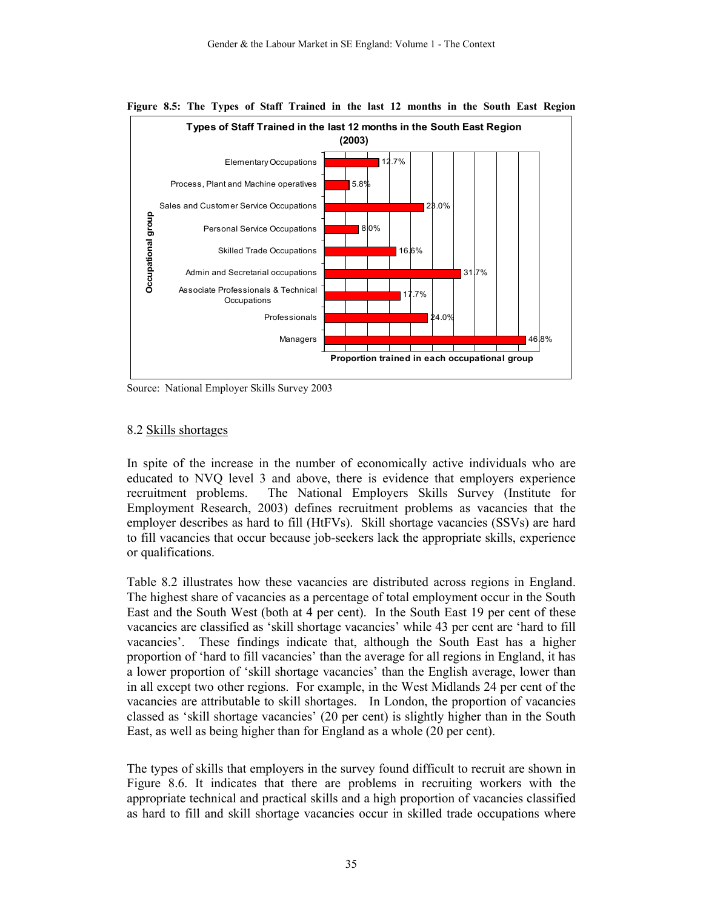

**Figure 8.5: The Types of Staff Trained in the last 12 months in the South East Region** 

Source: National Employer Skills Survey 2003

#### 8.2 Skills shortages

In spite of the increase in the number of economically active individuals who are educated to NVQ level 3 and above, there is evidence that employers experience recruitment problems. The National Employers Skills Survey (Institute for Employment Research, 2003) defines recruitment problems as vacancies that the employer describes as hard to fill (HtFVs). Skill shortage vacancies (SSVs) are hard to fill vacancies that occur because job-seekers lack the appropriate skills, experience or qualifications.

Table 8.2 illustrates how these vacancies are distributed across regions in England. The highest share of vacancies as a percentage of total employment occur in the South East and the South West (both at 4 per cent). In the South East 19 per cent of these vacancies are classified as 'skill shortage vacancies' while 43 per cent are 'hard to fill vacancies'. These findings indicate that, although the South East has a higher proportion of 'hard to fill vacancies' than the average for all regions in England, it has a lower proportion of 'skill shortage vacancies' than the English average, lower than in all except two other regions. For example, in the West Midlands 24 per cent of the vacancies are attributable to skill shortages. In London, the proportion of vacancies classed as 'skill shortage vacancies' (20 per cent) is slightly higher than in the South East, as well as being higher than for England as a whole (20 per cent).

The types of skills that employers in the survey found difficult to recruit are shown in Figure 8.6. It indicates that there are problems in recruiting workers with the appropriate technical and practical skills and a high proportion of vacancies classified as hard to fill and skill shortage vacancies occur in skilled trade occupations where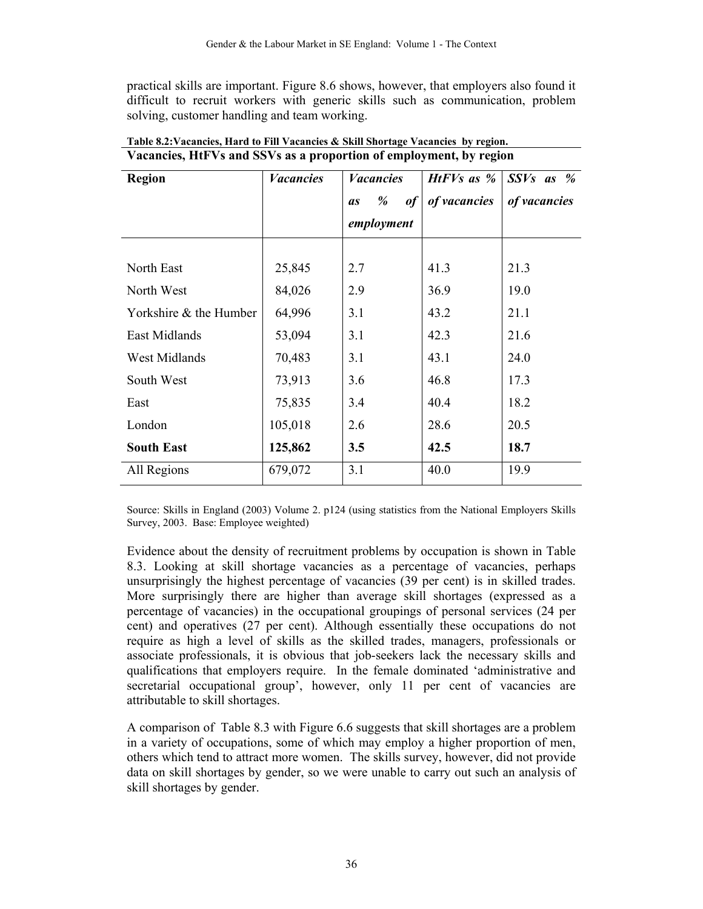practical skills are important. Figure 8.6 shows, however, that employers also found it difficult to recruit workers with generic skills such as communication, problem solving, customer handling and team working.

| <b>Region</b>          | <b>Vacancies</b> | <b>Vacancies</b>     | <i>HtFVs as</i> $\%$ | $SSVs$ as %  |
|------------------------|------------------|----------------------|----------------------|--------------|
|                        |                  | %<br>of<br><b>as</b> | of vacancies         | of vacancies |
|                        |                  | employment           |                      |              |
|                        |                  |                      |                      |              |
| North East             | 25,845           | 2.7                  | 41.3                 | 21.3         |
| North West             | 84,026           | 2.9                  | 36.9                 | 19.0         |
| Yorkshire & the Humber | 64,996           | 3.1                  | 43.2                 | 21.1         |
| East Midlands          | 53,094           | 3.1                  | 42.3                 | 21.6         |
| West Midlands          | 70,483           | 3.1                  | 43.1                 | 24.0         |
| South West             | 73,913           | 3.6                  | 46.8                 | 17.3         |
| East                   | 75,835           | 3.4                  | 40.4                 | 18.2         |
| London                 | 105,018          | 2.6                  | 28.6                 | 20.5         |
| <b>South East</b>      | 125,862          | 3.5                  | 42.5                 | 18.7         |
| All Regions            | 679,072          | 3.1                  | 40.0                 | 19.9         |

**Table 8.2:Vacancies, Hard to Fill Vacancies & Skill Shortage Vacancies by region. Vacancies, HtFVs and SSVs as a proportion of employment, by region** 

Source: Skills in England (2003) Volume 2. p124 (using statistics from the National Employers Skills Survey, 2003. Base: Employee weighted)

Evidence about the density of recruitment problems by occupation is shown in Table 8.3. Looking at skill shortage vacancies as a percentage of vacancies, perhaps unsurprisingly the highest percentage of vacancies (39 per cent) is in skilled trades. More surprisingly there are higher than average skill shortages (expressed as a percentage of vacancies) in the occupational groupings of personal services (24 per cent) and operatives (27 per cent). Although essentially these occupations do not require as high a level of skills as the skilled trades, managers, professionals or associate professionals, it is obvious that job-seekers lack the necessary skills and qualifications that employers require. In the female dominated 'administrative and secretarial occupational group', however, only 11 per cent of vacancies are attributable to skill shortages.

A comparison of Table 8.3 with Figure 6.6 suggests that skill shortages are a problem in a variety of occupations, some of which may employ a higher proportion of men, others which tend to attract more women. The skills survey, however, did not provide data on skill shortages by gender, so we were unable to carry out such an analysis of skill shortages by gender.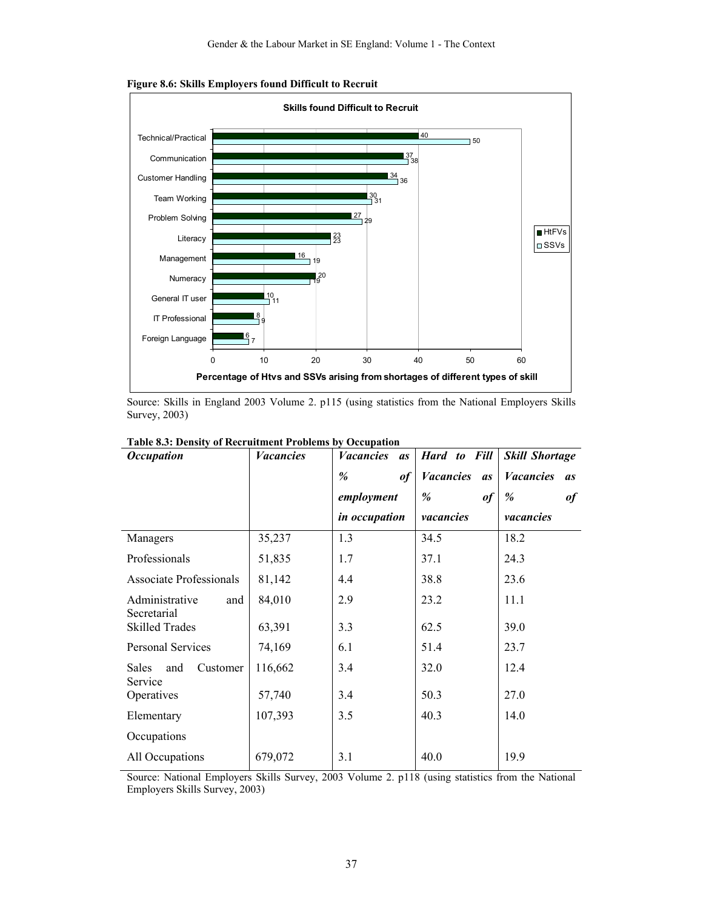

**Figure 8.6: Skills Employers found Difficult to Recruit** 

Source: Skills in England 2003 Volume 2. p115 (using statistics from the National Employers Skills Survey, 2003)

| <b>Occupation</b>                    | <b>Vacancies</b> | <b>Vacancies</b><br><i>as</i> | Hard to Fill                  | <b>Skill Shortage</b>         |
|--------------------------------------|------------------|-------------------------------|-------------------------------|-------------------------------|
|                                      |                  | %<br>$\it of$                 | <b>Vacancies</b><br><i>as</i> | <b>Vacancies</b><br><i>as</i> |
|                                      |                  | employment                    | %<br>$\boldsymbol{\theta}$    | %<br>$\boldsymbol{\theta}$    |
|                                      |                  | in occupation                 | vacancies                     | vacancies                     |
| Managers                             | 35,237           | 1.3                           | 34.5                          | 18.2                          |
| Professionals                        | 51,835           | 1.7                           | 37.1                          | 24.3                          |
| Associate Professionals              | 81,142           | 4.4                           | 38.8                          | 23.6                          |
| Administrative<br>and<br>Secretarial | 84,010           | 2.9                           | 23.2                          | 11.1                          |
| <b>Skilled Trades</b>                | 63,391           | 3.3                           | 62.5                          | 39.0                          |
| Personal Services                    | 74,169           | 6.1                           | 51.4                          | 23.7                          |
| Sales<br>Customer<br>and<br>Service  | 116,662          | 3.4                           | 32.0                          | 12.4                          |
| Operatives                           | 57,740           | 3.4                           | 50.3                          | 27.0                          |
| Elementary                           | 107,393          | 3.5                           | 40.3                          | 14.0                          |
| Occupations                          |                  |                               |                               |                               |
| All Occupations                      | 679,072          | 3.1                           | 40.0                          | 19.9                          |

Source: National Employers Skills Survey, 2003 Volume 2. p118 (using statistics from the National Employers Skills Survey, 2003)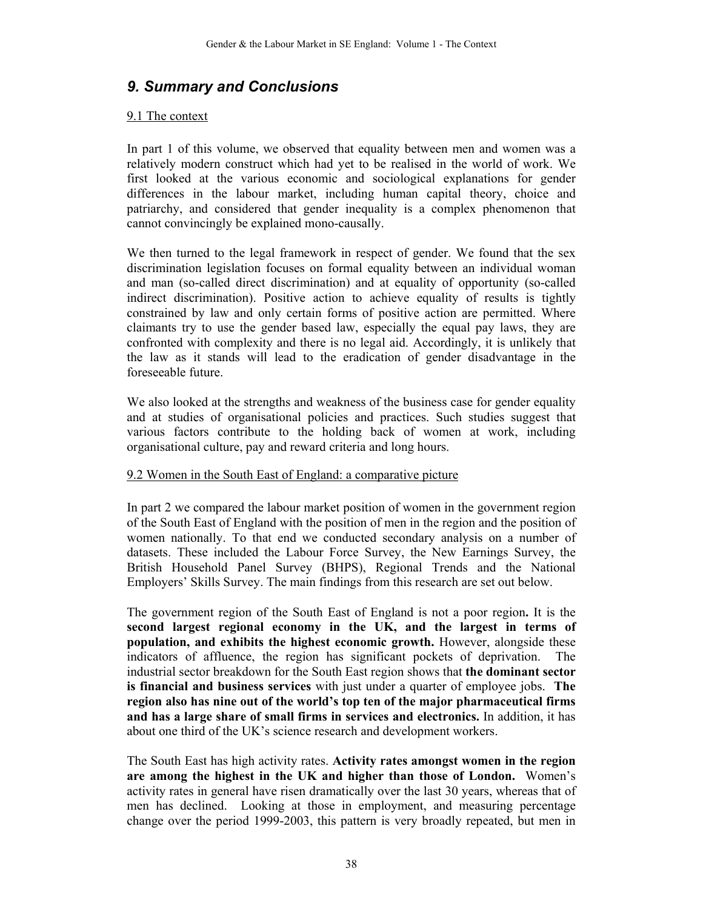## *9. Summary and Conclusions*

#### 9.1 The context

In part 1 of this volume, we observed that equality between men and women was a relatively modern construct which had yet to be realised in the world of work. We first looked at the various economic and sociological explanations for gender differences in the labour market, including human capital theory, choice and patriarchy, and considered that gender inequality is a complex phenomenon that cannot convincingly be explained mono-causally.

We then turned to the legal framework in respect of gender. We found that the sex discrimination legislation focuses on formal equality between an individual woman and man (so-called direct discrimination) and at equality of opportunity (so-called indirect discrimination). Positive action to achieve equality of results is tightly constrained by law and only certain forms of positive action are permitted. Where claimants try to use the gender based law, especially the equal pay laws, they are confronted with complexity and there is no legal aid. Accordingly, it is unlikely that the law as it stands will lead to the eradication of gender disadvantage in the foreseeable future.

We also looked at the strengths and weakness of the business case for gender equality and at studies of organisational policies and practices. Such studies suggest that various factors contribute to the holding back of women at work, including organisational culture, pay and reward criteria and long hours.

#### 9.2 Women in the South East of England: a comparative picture

In part 2 we compared the labour market position of women in the government region of the South East of England with the position of men in the region and the position of women nationally. To that end we conducted secondary analysis on a number of datasets. These included the Labour Force Survey, the New Earnings Survey, the British Household Panel Survey (BHPS), Regional Trends and the National Employers' Skills Survey. The main findings from this research are set out below.

The government region of the South East of England is not a poor region**.** It is the **second largest regional economy in the UK, and the largest in terms of population, and exhibits the highest economic growth.** However, alongside these indicators of affluence, the region has significant pockets of deprivation. The industrial sector breakdown for the South East region shows that **the dominant sector is financial and business services** with just under a quarter of employee jobs. **The region also has nine out of the world's top ten of the major pharmaceutical firms and has a large share of small firms in services and electronics.** In addition, it has about one third of the UK's science research and development workers.

The South East has high activity rates. **Activity rates amongst women in the region are among the highest in the UK and higher than those of London.** Women's activity rates in general have risen dramatically over the last 30 years, whereas that of men has declined. Looking at those in employment, and measuring percentage change over the period 1999-2003, this pattern is very broadly repeated, but men in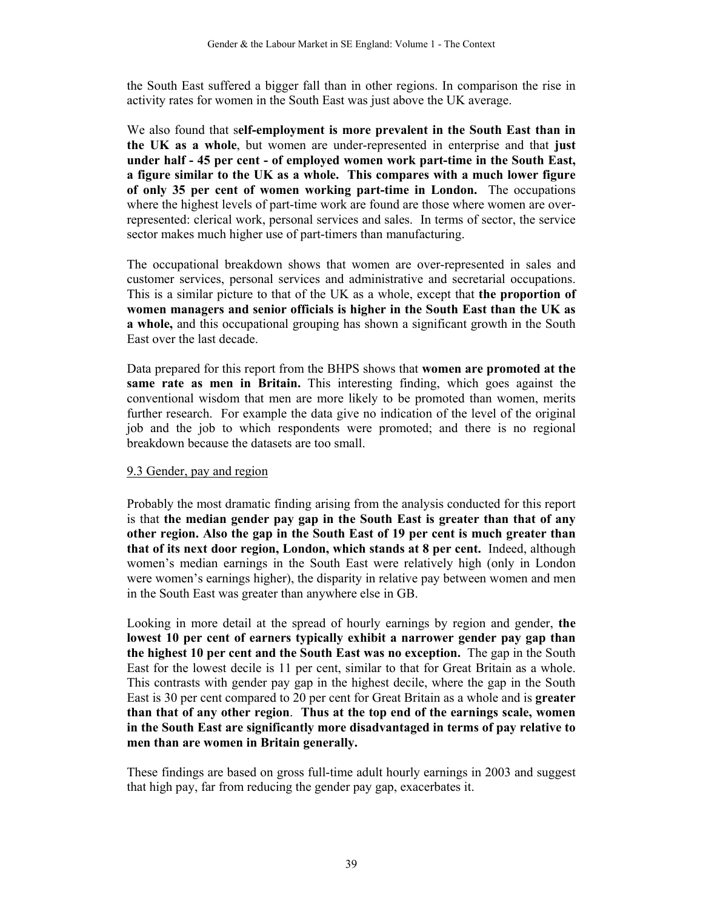the South East suffered a bigger fall than in other regions. In comparison the rise in activity rates for women in the South East was just above the UK average.

We also found that s**elf-employment is more prevalent in the South East than in the UK as a whole**, but women are under-represented in enterprise and that **just under half - 45 per cent - of employed women work part-time in the South East, a figure similar to the UK as a whole. This compares with a much lower figure of only 35 per cent of women working part-time in London.** The occupations where the highest levels of part-time work are found are those where women are overrepresented: clerical work, personal services and sales. In terms of sector, the service sector makes much higher use of part-timers than manufacturing.

The occupational breakdown shows that women are over-represented in sales and customer services, personal services and administrative and secretarial occupations. This is a similar picture to that of the UK as a whole, except that **the proportion of women managers and senior officials is higher in the South East than the UK as a whole,** and this occupational grouping has shown a significant growth in the South East over the last decade.

Data prepared for this report from the BHPS shows that **women are promoted at the same rate as men in Britain.** This interesting finding, which goes against the conventional wisdom that men are more likely to be promoted than women, merits further research. For example the data give no indication of the level of the original job and the job to which respondents were promoted; and there is no regional breakdown because the datasets are too small.

#### 9.3 Gender, pay and region

Probably the most dramatic finding arising from the analysis conducted for this report is that **the median gender pay gap in the South East is greater than that of any other region. Also the gap in the South East of 19 per cent is much greater than that of its next door region, London, which stands at 8 per cent.** Indeed, although women's median earnings in the South East were relatively high (only in London were women's earnings higher), the disparity in relative pay between women and men in the South East was greater than anywhere else in GB.

Looking in more detail at the spread of hourly earnings by region and gender, **the lowest 10 per cent of earners typically exhibit a narrower gender pay gap than the highest 10 per cent and the South East was no exception.** The gap in the South East for the lowest decile is 11 per cent, similar to that for Great Britain as a whole. This contrasts with gender pay gap in the highest decile, where the gap in the South East is 30 per cent compared to 20 per cent for Great Britain as a whole and is **greater than that of any other region**. **Thus at the top end of the earnings scale, women in the South East are significantly more disadvantaged in terms of pay relative to men than are women in Britain generally.** 

These findings are based on gross full-time adult hourly earnings in 2003 and suggest that high pay, far from reducing the gender pay gap, exacerbates it.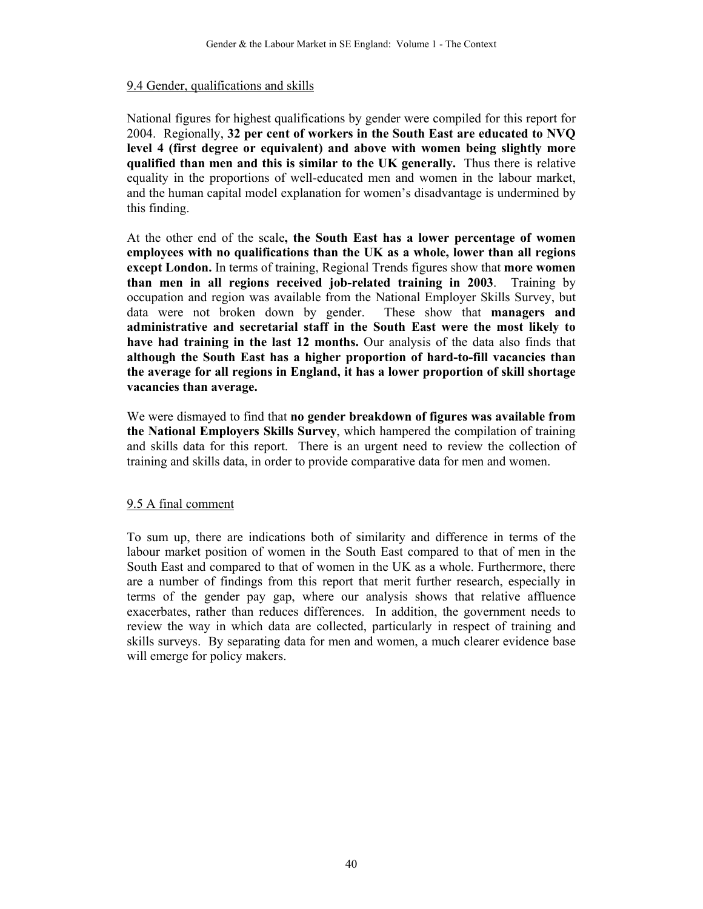#### 9.4 Gender, qualifications and skills

National figures for highest qualifications by gender were compiled for this report for 2004. Regionally, **32 per cent of workers in the South East are educated to NVQ level 4 (first degree or equivalent) and above with women being slightly more qualified than men and this is similar to the UK generally.** Thus there is relative equality in the proportions of well-educated men and women in the labour market, and the human capital model explanation for women's disadvantage is undermined by this finding.

At the other end of the scale**, the South East has a lower percentage of women employees with no qualifications than the UK as a whole, lower than all regions except London.** In terms of training, Regional Trends figures show that **more women than men in all regions received job-related training in 2003**. Training by occupation and region was available from the National Employer Skills Survey, but data were not broken down by gender. These show that **managers and administrative and secretarial staff in the South East were the most likely to have had training in the last 12 months.** Our analysis of the data also finds that **although the South East has a higher proportion of hard-to-fill vacancies than the average for all regions in England, it has a lower proportion of skill shortage vacancies than average.** 

We were dismayed to find that **no gender breakdown of figures was available from the National Employers Skills Survey**, which hampered the compilation of training and skills data for this report. There is an urgent need to review the collection of training and skills data, in order to provide comparative data for men and women.

#### 9.5 A final comment

To sum up, there are indications both of similarity and difference in terms of the labour market position of women in the South East compared to that of men in the South East and compared to that of women in the UK as a whole. Furthermore, there are a number of findings from this report that merit further research, especially in terms of the gender pay gap, where our analysis shows that relative affluence exacerbates, rather than reduces differences. In addition, the government needs to review the way in which data are collected, particularly in respect of training and skills surveys. By separating data for men and women, a much clearer evidence base will emerge for policy makers.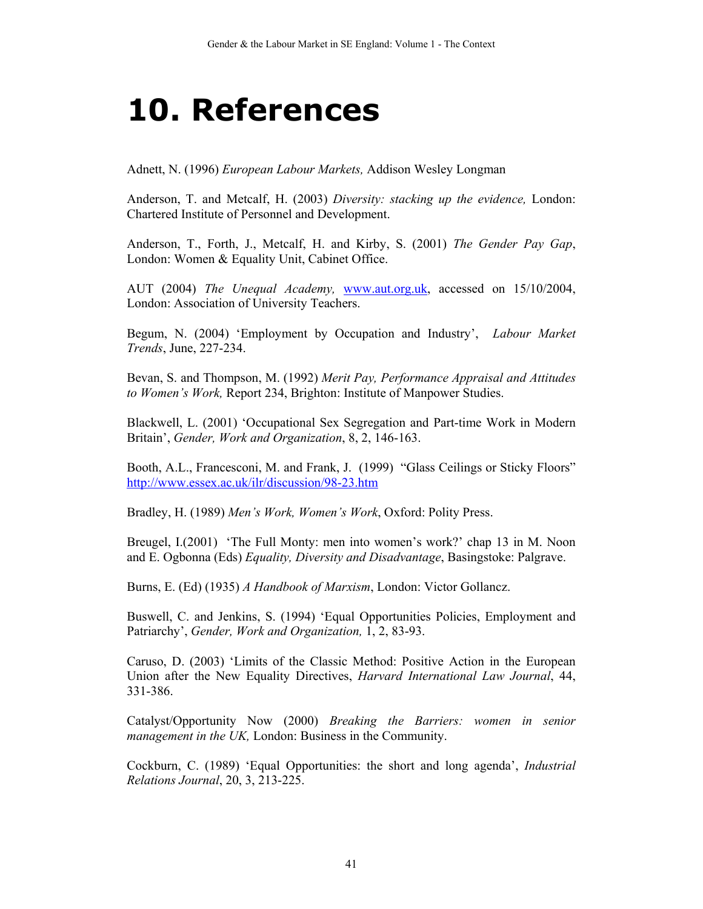## **10. References**

Adnett, N. (1996) *European Labour Markets,* Addison Wesley Longman

Anderson, T. and Metcalf, H. (2003) *Diversity: stacking up the evidence,* London: Chartered Institute of Personnel and Development.

Anderson, T., Forth, J., Metcalf, H. and Kirby, S. (2001) *The Gender Pay Gap*, London: Women & Equality Unit, Cabinet Office.

AUT (2004) *The Unequal Academy,* www.aut.org.uk, accessed on 15/10/2004, London: Association of University Teachers.

Begum, N. (2004) 'Employment by Occupation and Industry', *Labour Market Trends*, June, 227-234.

Bevan, S. and Thompson, M. (1992) *Merit Pay, Performance Appraisal and Attitudes to Women's Work,* Report 234, Brighton: Institute of Manpower Studies.

Blackwell, L. (2001) 'Occupational Sex Segregation and Part-time Work in Modern Britain', *Gender, Work and Organization*, 8, 2, 146-163.

Booth, A.L., Francesconi, M. and Frank, J. (1999) "Glass Ceilings or Sticky Floors" http://www.essex.ac.uk/ilr/discussion/98-23.htm

Bradley, H. (1989) *Men's Work, Women's Work*, Oxford: Polity Press.

Breugel, I.(2001) 'The Full Monty: men into women's work?' chap 13 in M. Noon and E. Ogbonna (Eds) *Equality, Diversity and Disadvantage*, Basingstoke: Palgrave.

Burns, E. (Ed) (1935) *A Handbook of Marxism*, London: Victor Gollancz.

Buswell, C. and Jenkins, S. (1994) 'Equal Opportunities Policies, Employment and Patriarchy', *Gender, Work and Organization,* 1, 2, 83-93.

Caruso, D. (2003) 'Limits of the Classic Method: Positive Action in the European Union after the New Equality Directives, *Harvard International Law Journal*, 44, 331-386.

Catalyst/Opportunity Now (2000) *Breaking the Barriers: women in senior management in the UK,* London: Business in the Community.

Cockburn, C. (1989) 'Equal Opportunities: the short and long agenda', *Industrial Relations Journal*, 20, 3, 213-225.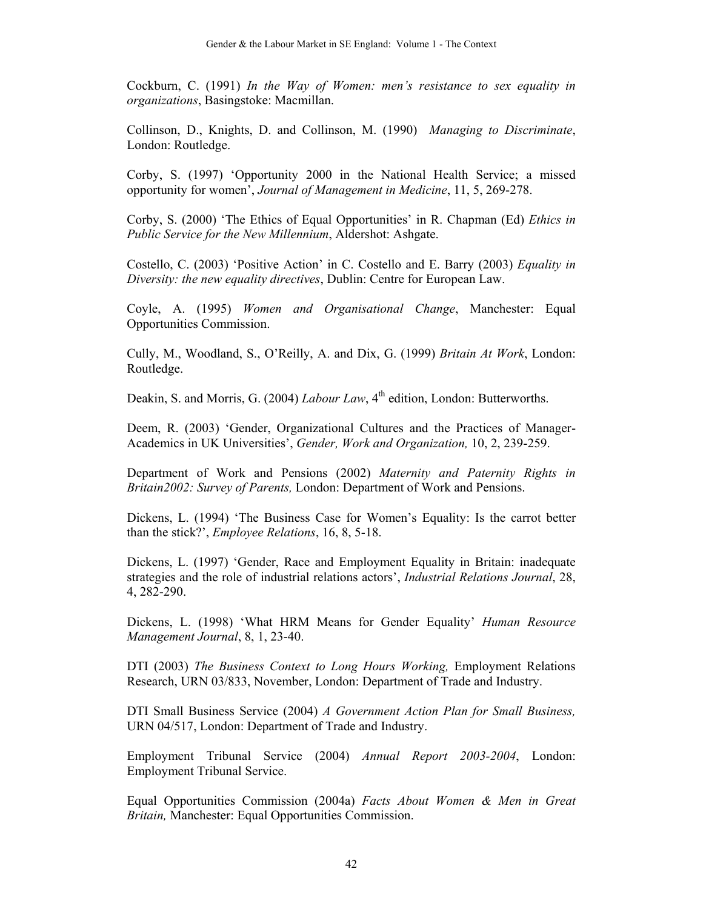Cockburn, C. (1991) *In the Way of Women: men's resistance to sex equality in organizations*, Basingstoke: Macmillan.

Collinson, D., Knights, D. and Collinson, M. (1990) *Managing to Discriminate*, London: Routledge.

Corby, S. (1997) 'Opportunity 2000 in the National Health Service; a missed opportunity for women', *Journal of Management in Medicine*, 11, 5, 269-278.

Corby, S. (2000) 'The Ethics of Equal Opportunities' in R. Chapman (Ed) *Ethics in Public Service for the New Millennium*, Aldershot: Ashgate.

Costello, C. (2003) 'Positive Action' in C. Costello and E. Barry (2003) *Equality in Diversity: the new equality directives*, Dublin: Centre for European Law.

Coyle, A. (1995) *Women and Organisational Change*, Manchester: Equal Opportunities Commission.

Cully, M., Woodland, S., O'Reilly, A. and Dix, G. (1999) *Britain At Work*, London: Routledge.

Deakin, S. and Morris, G. (2004) *Labour Law*, 4<sup>th</sup> edition, London: Butterworths.

Deem, R. (2003) 'Gender, Organizational Cultures and the Practices of Manager-Academics in UK Universities', *Gender, Work and Organization,* 10, 2, 239-259.

Department of Work and Pensions (2002) *Maternity and Paternity Rights in Britain2002: Survey of Parents,* London: Department of Work and Pensions.

Dickens, L. (1994) 'The Business Case for Women's Equality: Is the carrot better than the stick?', *Employee Relations*, 16, 8, 5-18.

Dickens, L. (1997) 'Gender, Race and Employment Equality in Britain: inadequate strategies and the role of industrial relations actors', *Industrial Relations Journal*, 28, 4, 282-290.

Dickens, L. (1998) 'What HRM Means for Gender Equality' *Human Resource Management Journal*, 8, 1, 23-40.

DTI (2003) *The Business Context to Long Hours Working,* Employment Relations Research, URN 03/833, November, London: Department of Trade and Industry.

DTI Small Business Service (2004) *A Government Action Plan for Small Business,*  URN 04/517, London: Department of Trade and Industry.

Employment Tribunal Service (2004) *Annual Report 2003-2004*, London: Employment Tribunal Service.

Equal Opportunities Commission (2004a) *Facts About Women & Men in Great Britain,* Manchester: Equal Opportunities Commission.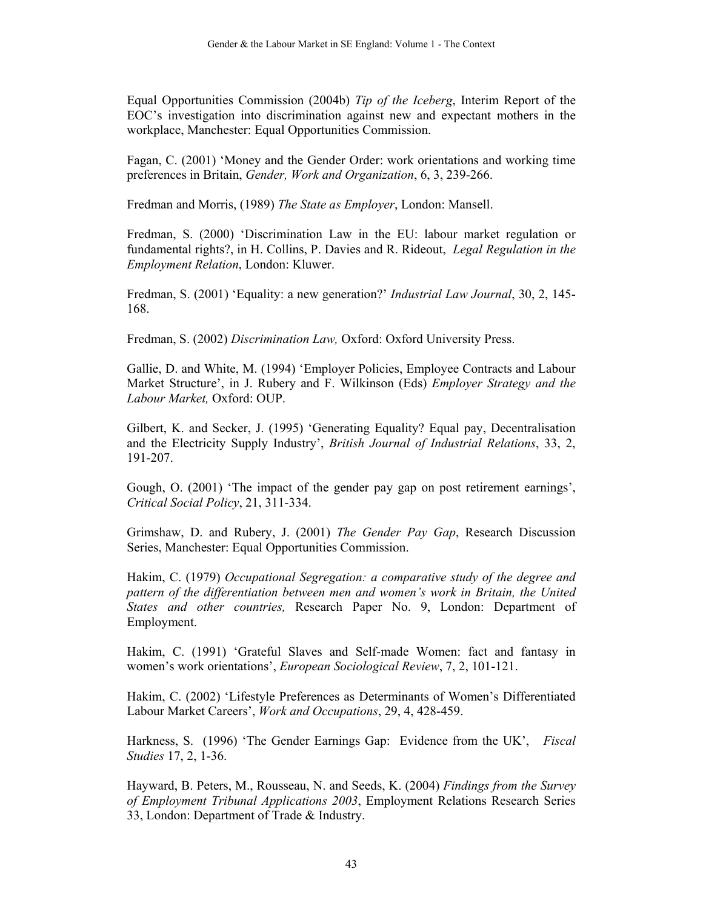Equal Opportunities Commission (2004b) *Tip of the Iceberg*, Interim Report of the EOC's investigation into discrimination against new and expectant mothers in the workplace, Manchester: Equal Opportunities Commission.

Fagan, C. (2001) 'Money and the Gender Order: work orientations and working time preferences in Britain, *Gender, Work and Organization*, 6, 3, 239-266.

Fredman and Morris, (1989) *The State as Employer*, London: Mansell.

Fredman, S. (2000) 'Discrimination Law in the EU: labour market regulation or fundamental rights?, in H. Collins, P. Davies and R. Rideout, *Legal Regulation in the Employment Relation*, London: Kluwer.

Fredman, S. (2001) 'Equality: a new generation?' *Industrial Law Journal*, 30, 2, 145- 168.

Fredman, S. (2002) *Discrimination Law,* Oxford: Oxford University Press.

Gallie, D. and White, M. (1994) 'Employer Policies, Employee Contracts and Labour Market Structure', in J. Rubery and F. Wilkinson (Eds) *Employer Strategy and the Labour Market,* Oxford: OUP.

Gilbert, K. and Secker, J. (1995) 'Generating Equality? Equal pay, Decentralisation and the Electricity Supply Industry', *British Journal of Industrial Relations*, 33, 2, 191-207.

Gough, O. (2001) 'The impact of the gender pay gap on post retirement earnings', *Critical Social Policy*, 21, 311-334.

Grimshaw, D. and Rubery, J. (2001) *The Gender Pay Gap*, Research Discussion Series, Manchester: Equal Opportunities Commission.

Hakim, C. (1979) *Occupational Segregation: a comparative study of the degree and pattern of the differentiation between men and women's work in Britain, the United States and other countries,* Research Paper No. 9, London: Department of Employment.

Hakim, C. (1991) 'Grateful Slaves and Self-made Women: fact and fantasy in women's work orientations', *European Sociological Review*, 7, 2, 101-121.

Hakim, C. (2002) 'Lifestyle Preferences as Determinants of Women's Differentiated Labour Market Careers', *Work and Occupations*, 29, 4, 428-459.

Harkness, S. (1996) 'The Gender Earnings Gap: Evidence from the UK', *Fiscal Studies* 17, 2, 1-36.

Hayward, B. Peters, M., Rousseau, N. and Seeds, K. (2004) *Findings from the Survey of Employment Tribunal Applications 2003*, Employment Relations Research Series 33, London: Department of Trade & Industry.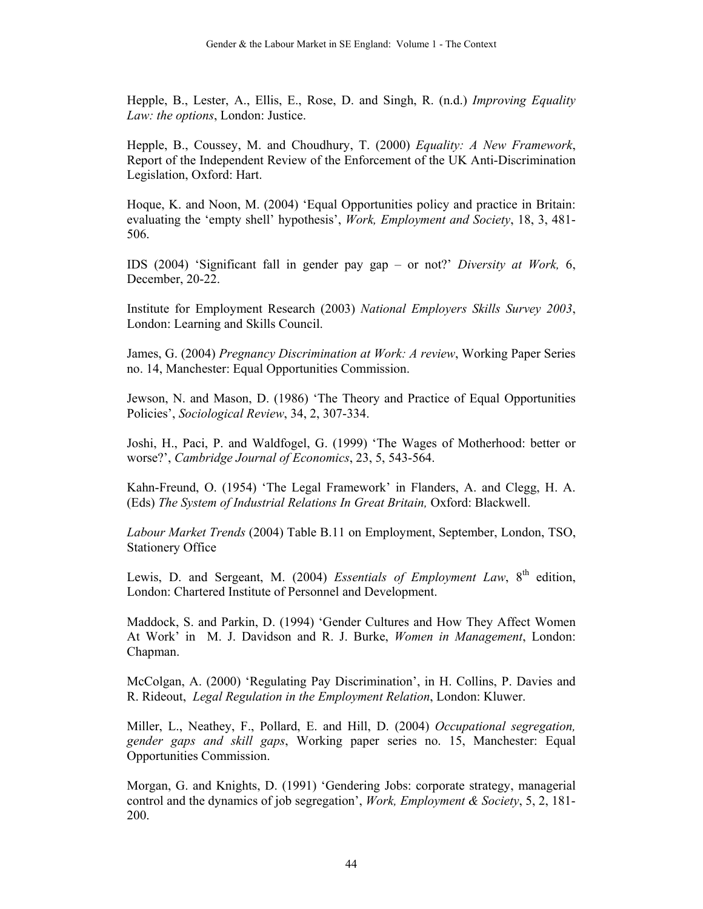Hepple, B., Lester, A., Ellis, E., Rose, D. and Singh, R. (n.d.) *Improving Equality Law: the options*, London: Justice.

Hepple, B., Coussey, M. and Choudhury, T. (2000) *Equality: A New Framework*, Report of the Independent Review of the Enforcement of the UK Anti-Discrimination Legislation, Oxford: Hart.

Hoque, K. and Noon, M. (2004) 'Equal Opportunities policy and practice in Britain: evaluating the 'empty shell' hypothesis', *Work, Employment and Society*, 18, 3, 481- 506.

IDS (2004) 'Significant fall in gender pay gap – or not?' *Diversity at Work,* 6, December, 20-22.

Institute for Employment Research (2003) *National Employers Skills Survey 2003*, London: Learning and Skills Council.

James, G. (2004) *Pregnancy Discrimination at Work: A review*, Working Paper Series no. 14, Manchester: Equal Opportunities Commission.

Jewson, N. and Mason, D. (1986) 'The Theory and Practice of Equal Opportunities Policies', *Sociological Review*, 34, 2, 307-334.

Joshi, H., Paci, P. and Waldfogel, G. (1999) 'The Wages of Motherhood: better or worse?', *Cambridge Journal of Economics*, 23, 5, 543-564.

Kahn-Freund, O. (1954) 'The Legal Framework' in Flanders, A. and Clegg, H. A. (Eds) *The System of Industrial Relations In Great Britain,* Oxford: Blackwell.

*Labour Market Trends* (2004) Table B.11 on Employment, September, London, TSO, Stationery Office

Lewis, D. and Sergeant, M. (2004) *Essentials of Employment Law*, 8<sup>th</sup> edition, London: Chartered Institute of Personnel and Development.

Maddock, S. and Parkin, D. (1994) 'Gender Cultures and How They Affect Women At Work' in M. J. Davidson and R. J. Burke, *Women in Management*, London: Chapman.

McColgan, A. (2000) 'Regulating Pay Discrimination', in H. Collins, P. Davies and R. Rideout, *Legal Regulation in the Employment Relation*, London: Kluwer.

Miller, L., Neathey, F., Pollard, E. and Hill, D. (2004) *Occupational segregation, gender gaps and skill gaps*, Working paper series no. 15, Manchester: Equal Opportunities Commission.

Morgan, G. and Knights, D. (1991) 'Gendering Jobs: corporate strategy, managerial control and the dynamics of job segregation', *Work, Employment & Society*, 5, 2, 181- 200.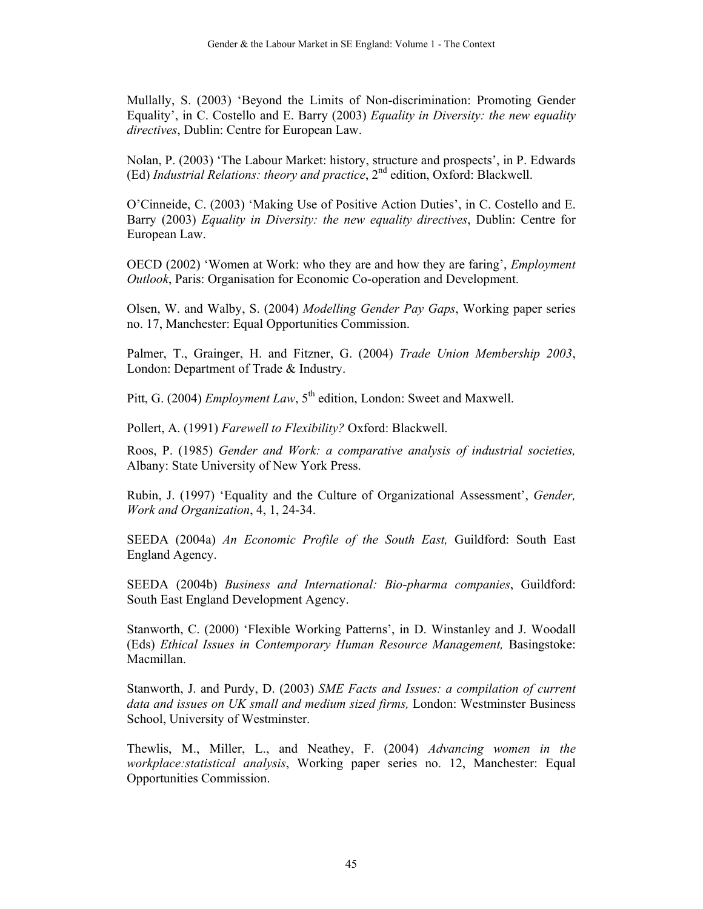Mullally, S. (2003) 'Beyond the Limits of Non-discrimination: Promoting Gender Equality', in C. Costello and E. Barry (2003) *Equality in Diversity: the new equality directives*, Dublin: Centre for European Law.

Nolan, P. (2003) 'The Labour Market: history, structure and prospects', in P. Edwards (Ed) *Industrial Relations: theory and practice*, 2<sup>nd</sup> edition, Oxford: Blackwell.

O'Cinneide, C. (2003) 'Making Use of Positive Action Duties', in C. Costello and E. Barry (2003) *Equality in Diversity: the new equality directives*, Dublin: Centre for European Law.

OECD (2002) 'Women at Work: who they are and how they are faring', *Employment Outlook*, Paris: Organisation for Economic Co-operation and Development.

Olsen, W. and Walby, S. (2004) *Modelling Gender Pay Gaps*, Working paper series no. 17, Manchester: Equal Opportunities Commission.

Palmer, T., Grainger, H. and Fitzner, G. (2004) *Trade Union Membership 2003*, London: Department of Trade & Industry.

Pitt, G. (2004) *Employment Law*, 5<sup>th</sup> edition, London: Sweet and Maxwell.

Pollert, A. (1991) *Farewell to Flexibility?* Oxford: Blackwell.

Roos, P. (1985) *Gender and Work: a comparative analysis of industrial societies,*  Albany: State University of New York Press.

Rubin, J. (1997) 'Equality and the Culture of Organizational Assessment', *Gender, Work and Organization*, 4, 1, 24-34.

SEEDA (2004a) *An Economic Profile of the South East,* Guildford: South East England Agency.

SEEDA (2004b) *Business and International: Bio-pharma companies*, Guildford: South East England Development Agency.

Stanworth, C. (2000) 'Flexible Working Patterns', in D. Winstanley and J. Woodall (Eds) *Ethical Issues in Contemporary Human Resource Management,* Basingstoke: Macmillan.

Stanworth, J. and Purdy, D. (2003) *SME Facts and Issues: a compilation of current data and issues on UK small and medium sized firms,* London: Westminster Business School, University of Westminster.

Thewlis, M., Miller, L., and Neathey, F. (2004) *Advancing women in the workplace:statistical analysis*, Working paper series no. 12, Manchester: Equal Opportunities Commission.